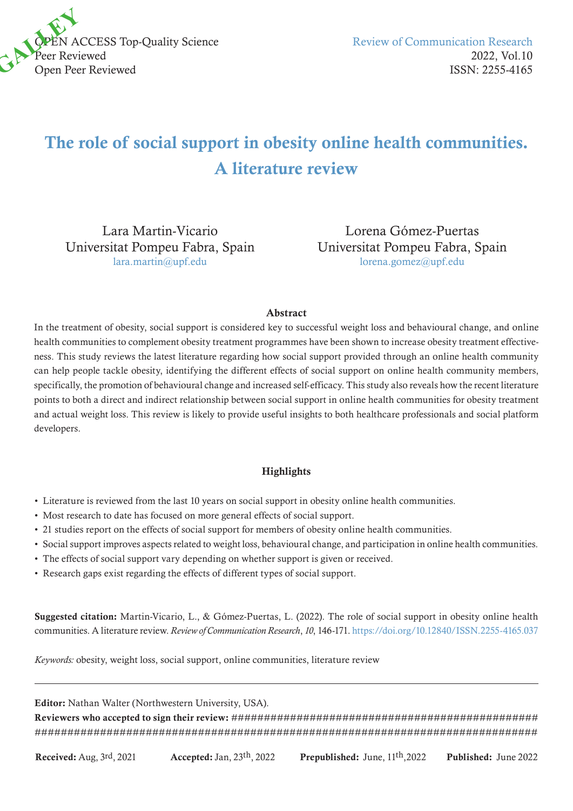

# The role of social support in obesity online health communities. A literature review

Lara Martin-Vicario Universitat Pompeu Fabra, Spain [lara.martin@upf.edu](mailto:lara.martin@upf.edu)

Lorena Gómez-Puertas Universitat Pompeu Fabra, Spain [lorena.gomez@upf.edu](mailto:lorena.gomez@upf.edu)

#### Abstract

In the treatment of obesity, social support is considered key to successful weight loss and behavioural change, and online health communities to complement obesity treatment programmes have been shown to increase obesity treatment effectiveness. This study reviews the latest literature regarding how social support provided through an online health community can help people tackle obesity, identifying the different effects of social support on online health community members, specifically, the promotion of behavioural change and increased self-efficacy. This study also reveals how the recent literature points to both a direct and indirect relationship between social support in online health communities for obesity treatment and actual weight loss. This review is likely to provide useful insights to both healthcare professionals and social platform developers.

#### **Highlights**

- Literature is reviewed from the last 10 years on social support in obesity online health communities.
- Most research to date has focused on more general effects of social support.
- 21 studies report on the effects of social support for members of obesity online health communities.
- Social support improves aspects related to weight loss, behavioural change, and participation in online health communities.
- The effects of social support vary depending on whether support is given or received.
- Research gaps exist regarding the effects of different types of social support.

Suggested citation: Martin-Vicario, L., & Gómez-Puertas, L. (2022). The role of social support in obesity online health communities. A literature review. *Review of Communication Research*, *10*, 146-171.<https://doi.org/10.12840/ISSN.2255-4165.037>

*Keywords:* obesity, weight loss, social support, online communities, literature review

Editor: Nathan Walter (Northwestern University, USA).

Reviewers who accepted to sign their review: ############################################### #############################################################################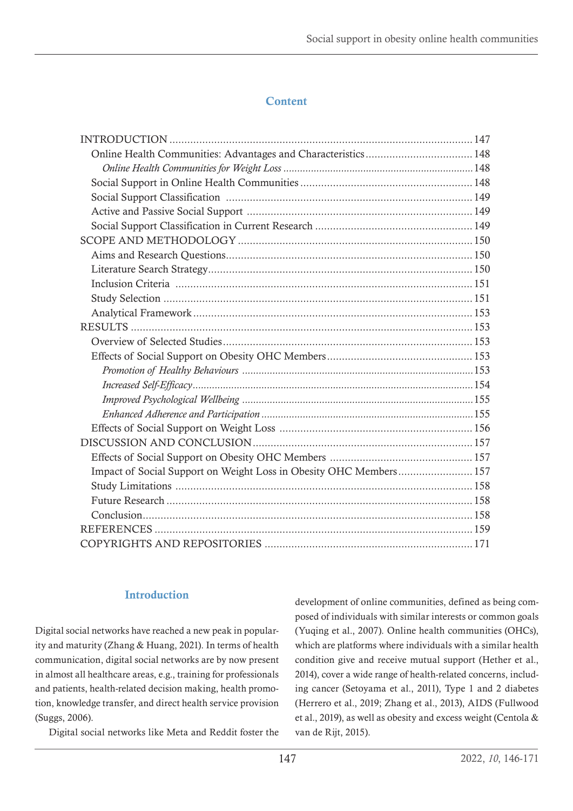# **Content**

| Impact of Social Support on Weight Loss in Obesity OHC Members 157 |  |
|--------------------------------------------------------------------|--|
|                                                                    |  |
|                                                                    |  |
|                                                                    |  |
|                                                                    |  |
|                                                                    |  |

## Introduction

Digital social networks have reached a new peak in popularity and maturity (Zhang & Huang, 2021). In terms of health communication, digital social networks are by now present in almost all healthcare areas, e.g., training for professionals and patients, health-related decision making, health promotion, knowledge transfer, and direct health service provision (Suggs, 2006).

Digital social networks like Meta and Reddit foster the

development of online communities, defined as being composed of individuals with similar interests or common goals (Yuqing et al., 2007). Online health communities (OHCs), which are platforms where individuals with a similar health condition give and receive mutual support (Hether et al., 2014), cover a wide range of health-related concerns, including cancer (Setoyama et al., 2011), Type 1 and 2 diabetes (Herrero et al., 2019; Zhang et al., 2013), AIDS (Fullwood et al., 2019), as well as obesity and excess weight (Centola & van de Rijt, 2015).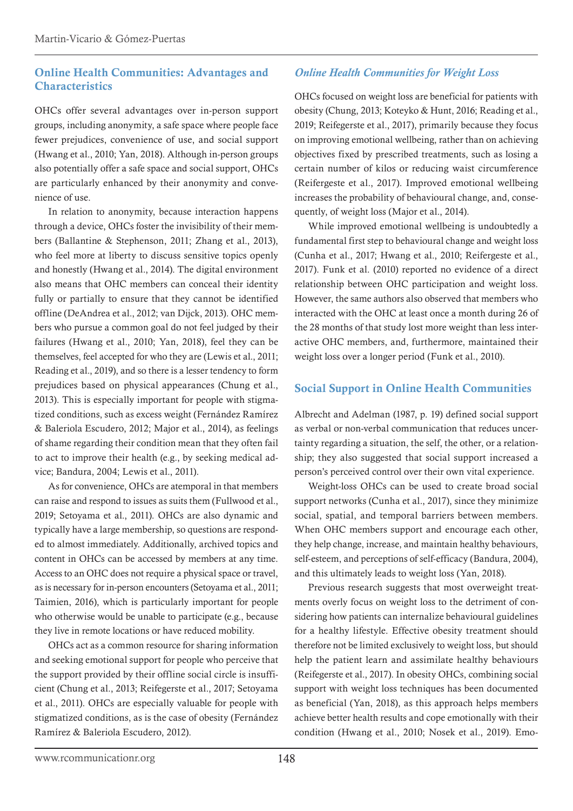#### <span id="page-2-0"></span>Online Health Communities: Advantages and **Characteristics**

OHCs offer several advantages over in-person support groups, including anonymity, a safe space where people face fewer prejudices, convenience of use, and social support (Hwang et al., 2010; Yan, 2018). Although in-person groups also potentially offer a safe space and social support, OHCs are particularly enhanced by their anonymity and convenience of use.

In relation to anonymity, because interaction happens through a device, OHCs foster the invisibility of their members (Ballantine & Stephenson, 2011; Zhang et al., 2013), who feel more at liberty to discuss sensitive topics openly and honestly (Hwang et al., 2014). The digital environment also means that OHC members can conceal their identity fully or partially to ensure that they cannot be identified offline (DeAndrea et al., 2012; van Dijck, 2013). OHC members who pursue a common goal do not feel judged by their failures (Hwang et al., 2010; Yan, 2018), feel they can be themselves, feel accepted for who they are (Lewis et al., 2011; Reading et al., 2019), and so there is a lesser tendency to form prejudices based on physical appearances (Chung et al., 2013). This is especially important for people with stigmatized conditions, such as excess weight (Fernández Ramírez & Baleriola Escudero, 2012; Major et al., 2014), as feelings of shame regarding their condition mean that they often fail to act to improve their health (e.g., by seeking medical advice; Bandura, 2004; Lewis et al., 2011).

As for convenience, OHCs are atemporal in that members can raise and respond to issues as suits them (Fullwood et al., 2019; Setoyama et al., 2011). OHCs are also dynamic and typically have a large membership, so questions are responded to almost immediately. Additionally, archived topics and content in OHCs can be accessed by members at any time. Access to an OHC does not require a physical space or travel, as is necessary for in-person encounters (Setoyama et al., 2011; Taimien, 2016), which is particularly important for people who otherwise would be unable to participate (e.g., because they live in remote locations or have reduced mobility.

OHCs act as a common resource for sharing information and seeking emotional support for people who perceive that the support provided by their offline social circle is insufficient (Chung et al., 2013; Reifegerste et al., 2017; Setoyama et al., 2011). OHCs are especially valuable for people with stigmatized conditions, as is the case of obesity (Fernández Ramírez & Baleriola Escudero, 2012).

## *Online Health Communities for Weight Loss*

OHCs focused on weight loss are beneficial for patients with obesity (Chung, 2013; Koteyko & Hunt, 2016; Reading et al., 2019; Reifegerste et al., 2017), primarily because they focus on improving emotional wellbeing, rather than on achieving objectives fixed by prescribed treatments, such as losing a certain number of kilos or reducing waist circumference (Reifergeste et al., 2017). Improved emotional wellbeing increases the probability of behavioural change, and, consequently, of weight loss (Major et al., 2014).

While improved emotional wellbeing is undoubtedly a fundamental first step to behavioural change and weight loss (Cunha et al., 2017; Hwang et al., 2010; Reifergeste et al., 2017). Funk et al. (2010) reported no evidence of a direct relationship between OHC participation and weight loss. However, the same authors also observed that members who interacted with the OHC at least once a month during 26 of the 28 months of that study lost more weight than less interactive OHC members, and, furthermore, maintained their weight loss over a longer period (Funk et al., 2010).

#### Social Support in Online Health Communities

Albrecht and Adelman (1987, p. 19) defined social support as verbal or non-verbal communication that reduces uncertainty regarding a situation, the self, the other, or a relationship; they also suggested that social support increased a person's perceived control over their own vital experience.

Weight-loss OHCs can be used to create broad social support networks (Cunha et al., 2017), since they minimize social, spatial, and temporal barriers between members. When OHC members support and encourage each other, they help change, increase, and maintain healthy behaviours, self-esteem, and perceptions of self-efficacy (Bandura, 2004), and this ultimately leads to weight loss (Yan, 2018).

Previous research suggests that most overweight treatments overly focus on weight loss to the detriment of considering how patients can internalize behavioural guidelines for a healthy lifestyle. Effective obesity treatment should therefore not be limited exclusively to weight loss, but should help the patient learn and assimilate healthy behaviours (Reifegerste et al., 2017). In obesity OHCs, combining social support with weight loss techniques has been documented as beneficial (Yan, 2018), as this approach helps members achieve better health results and cope emotionally with their condition (Hwang et al., 2010; Nosek et al., 2019). Emo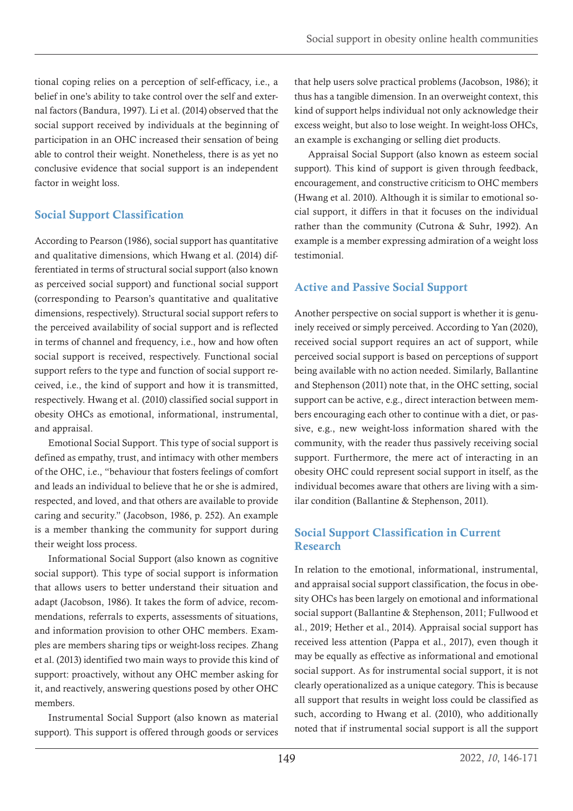<span id="page-3-0"></span>tional coping relies on a perception of self-efficacy, i.e., a belief in one's ability to take control over the self and external factors (Bandura, 1997). Li et al. (2014) observed that the social support received by individuals at the beginning of participation in an OHC increased their sensation of being able to control their weight. Nonetheless, there is as yet no conclusive evidence that social support is an independent factor in weight loss.

## Social Support Classification

According to Pearson (1986), social support has quantitative and qualitative dimensions, which Hwang et al. (2014) differentiated in terms of structural social support (also known as perceived social support) and functional social support (corresponding to Pearson's quantitative and qualitative dimensions, respectively). Structural social support refers to the perceived availability of social support and is reflected in terms of channel and frequency, i.e., how and how often social support is received, respectively. Functional social support refers to the type and function of social support received, i.e., the kind of support and how it is transmitted, respectively. Hwang et al. (2010) classified social support in obesity OHCs as emotional, informational, instrumental, and appraisal.

Emotional Social Support. This type of social support is defined as empathy, trust, and intimacy with other members of the OHC, i.e., "behaviour that fosters feelings of comfort and leads an individual to believe that he or she is admired, respected, and loved, and that others are available to provide caring and security." (Jacobson, 1986, p. 252). An example is a member thanking the community for support during their weight loss process.

Informational Social Support (also known as cognitive social support). This type of social support is information that allows users to better understand their situation and adapt (Jacobson, 1986). It takes the form of advice, recommendations, referrals to experts, assessments of situations, and information provision to other OHC members. Examples are members sharing tips or weight-loss recipes. Zhang et al. (2013) identified two main ways to provide this kind of support: proactively, without any OHC member asking for it, and reactively, answering questions posed by other OHC members.

Instrumental Social Support (also known as material support). This support is offered through goods or services

that help users solve practical problems (Jacobson, 1986); it thus has a tangible dimension. In an overweight context, this kind of support helps individual not only acknowledge their excess weight, but also to lose weight. In weight-loss OHCs, an example is exchanging or selling diet products.

Appraisal Social Support (also known as esteem social support). This kind of support is given through feedback, encouragement, and constructive criticism to OHC members (Hwang et al. 2010). Although it is similar to emotional social support, it differs in that it focuses on the individual rather than the community (Cutrona & Suhr, 1992). An example is a member expressing admiration of a weight loss testimonial.

# Active and Passive Social Support

Another perspective on social support is whether it is genuinely received or simply perceived. According to Yan (2020), received social support requires an act of support, while perceived social support is based on perceptions of support being available with no action needed. Similarly, Ballantine and Stephenson (2011) note that, in the OHC setting, social support can be active, e.g., direct interaction between members encouraging each other to continue with a diet, or passive, e.g., new weight-loss information shared with the community, with the reader thus passively receiving social support. Furthermore, the mere act of interacting in an obesity OHC could represent social support in itself, as the individual becomes aware that others are living with a similar condition (Ballantine & Stephenson, 2011).

## Social Support Classification in Current Research

In relation to the emotional, informational, instrumental, and appraisal social support classification, the focus in obesity OHCs has been largely on emotional and informational social support (Ballantine & Stephenson, 2011; Fullwood et al., 2019; Hether et al., 2014). Appraisal social support has received less attention (Pappa et al., 2017), even though it may be equally as effective as informational and emotional social support. As for instrumental social support, it is not clearly operationalized as a unique category. This is because all support that results in weight loss could be classified as such, according to Hwang et al. (2010), who additionally noted that if instrumental social support is all the support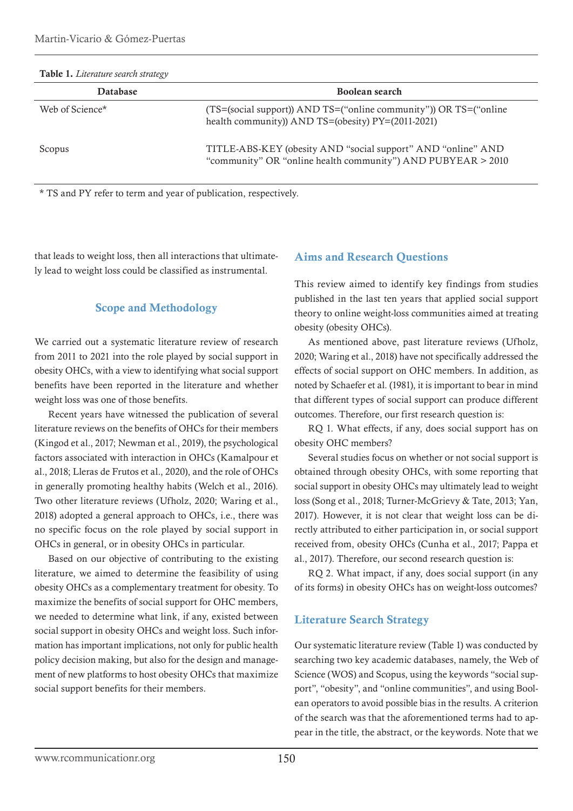<span id="page-4-0"></span>

| Table 1. Literature search strategy |                                                                                                                              |
|-------------------------------------|------------------------------------------------------------------------------------------------------------------------------|
| <b>Database</b>                     | Boolean search                                                                                                               |
| Web of Science*                     | (TS=(social support)) AND TS=("online community")) OR TS=("online"<br>health community)) AND TS=(obesity) PY=(2011-2021)     |
| Scopus                              | TITLE-ABS-KEY (obesity AND "social support" AND "online" AND<br>"community" OR "online health community") AND PUBYEAR > 2010 |

\* TS and PY refer to term and year of publication, respectively.

that leads to weight loss, then all interactions that ultimately lead to weight loss could be classified as instrumental.

#### Scope and Methodology

We carried out a systematic literature review of research from 2011 to 2021 into the role played by social support in obesity OHCs, with a view to identifying what social support benefits have been reported in the literature and whether weight loss was one of those benefits.

Recent years have witnessed the publication of several literature reviews on the benefits of OHCs for their members (Kingod et al., 2017; Newman et al., 2019), the psychological factors associated with interaction in OHCs (Kamalpour et al., 2018; Lleras de Frutos et al., 2020), and the role of OHCs in generally promoting healthy habits (Welch et al., 2016). Two other literature reviews (Ufholz, 2020; Waring et al., 2018) adopted a general approach to OHCs, i.e., there was no specific focus on the role played by social support in OHCs in general, or in obesity OHCs in particular.

Based on our objective of contributing to the existing literature, we aimed to determine the feasibility of using obesity OHCs as a complementary treatment for obesity. To maximize the benefits of social support for OHC members, we needed to determine what link, if any, existed between social support in obesity OHCs and weight loss. Such information has important implications, not only for public health policy decision making, but also for the design and management of new platforms to host obesity OHCs that maximize social support benefits for their members.

#### Aims and Research Questions

This review aimed to identify key findings from studies published in the last ten years that applied social support theory to online weight-loss communities aimed at treating obesity (obesity OHCs).

As mentioned above, past literature reviews (Ufholz, 2020; Waring et al., 2018) have not specifically addressed the effects of social support on OHC members. In addition, as noted by Schaefer et al. (1981), it is important to bear in mind that different types of social support can produce different outcomes. Therefore, our first research question is:

RQ 1. What effects, if any, does social support has on obesity OHC members?

Several studies focus on whether or not social support is obtained through obesity OHCs, with some reporting that social support in obesity OHCs may ultimately lead to weight loss (Song et al., 2018; Turner-McGrievy & Tate, 2013; Yan, 2017). However, it is not clear that weight loss can be directly attributed to either participation in, or social support received from, obesity OHCs (Cunha et al., 2017; Pappa et al., 2017). Therefore, our second research question is:

RQ 2. What impact, if any, does social support (in any of its forms) in obesity OHCs has on weight-loss outcomes?

#### Literature Search Strategy

Our systematic literature review (Table 1) was conducted by searching two key academic databases, namely, the Web of Science (WOS) and Scopus, using the keywords "social support", "obesity", and "online communities", and using Boolean operators to avoid possible bias in the results. A criterion of the search was that the aforementioned terms had to appear in the title, the abstract, or the keywords. Note that we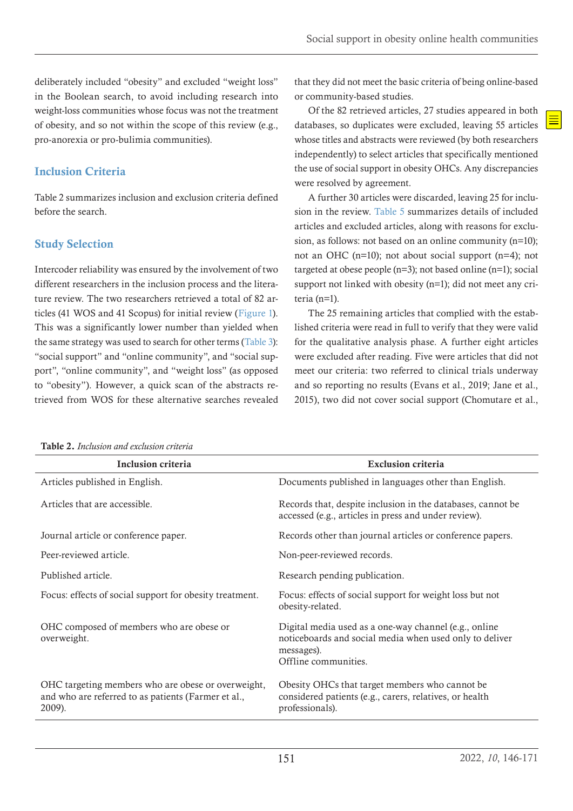<span id="page-5-0"></span>deliberately included "obesity" and excluded "weight loss" in the Boolean search, to avoid including research into weight-loss communities whose focus was not the treatment of obesity, and so not within the scope of this review (e.g., pro-anorexia or pro-bulimia communities).

## Inclusion Criteria

Table 2 summarizes inclusion and exclusion criteria defined before the search.

## Study Selection

<span id="page-5-2"></span><span id="page-5-1"></span>Intercoder reliability was ensured by the involvement of two different researchers in the inclusion process and the literature review. The two researchers retrieved a total of 82 articles (41 WOS and 41 Scopus) for initial review ([Figure 1](#page-6-0)). This was a significantly lower number than yielded when the same strategy was used to search for other terms ([Table 3](#page-6-1)): "social support" and "online community", and "social support", "online community", and "weight loss" (as opposed to "obesity"). However, a quick scan of the abstracts retrieved from WOS for these alternative searches revealed <span id="page-5-3"></span>that they did not meet the basic criteria of being online-based or community-based studies.

Of the 82 retrieved articles, 27 studies appeared in both databases, so duplicates were excluded, leaving 55 articles whose titles and abstracts were reviewed (by both researchers independently) to select articles that specifically mentioned the use of social support in obesity OHCs. Any discrepancies were resolved by agreement.

A further 30 articles were discarded, leaving 25 for inclusion in the review. [Table 5](#page-23-0) summarizes details of included articles and excluded articles, along with reasons for exclusion, as follows: not based on an online community (n=10); not an OHC (n=10); not about social support (n=4); not targeted at obese people (n=3); not based online (n=1); social support not linked with obesity (n=1); did not meet any criteria (n=1).

The 25 remaining articles that complied with the established criteria were read in full to verify that they were valid for the qualitative analysis phase. A further eight articles were excluded after reading. Five were articles that did not meet our criteria: two referred to clinical trials underway and so reporting no results (Evans et al., 2019; Jane et al., 2015), two did not cover social support (Chomutare et al.,

| <b>Table 2.</b> Inclusion and exclusion criteria                                                                    |                                                                                                                                                        |
|---------------------------------------------------------------------------------------------------------------------|--------------------------------------------------------------------------------------------------------------------------------------------------------|
| Inclusion criteria                                                                                                  | <b>Exclusion criteria</b>                                                                                                                              |
| Articles published in English.                                                                                      | Documents published in languages other than English.                                                                                                   |
| Articles that are accessible.                                                                                       | Records that, despite inclusion in the databases, cannot be<br>accessed (e.g., articles in press and under review).                                    |
| Journal article or conference paper.                                                                                | Records other than journal articles or conference papers.                                                                                              |
| Peer-reviewed article.                                                                                              | Non-peer-reviewed records.                                                                                                                             |
| Published article.                                                                                                  | Research pending publication.                                                                                                                          |
| Focus: effects of social support for obesity treatment.                                                             | Focus: effects of social support for weight loss but not<br>obesity-related.                                                                           |
| OHC composed of members who are obese or<br>overweight.                                                             | Digital media used as a one-way channel (e.g., online<br>noticeboards and social media when used only to deliver<br>messages).<br>Offline communities. |
| OHC targeting members who are obese or overweight,<br>and who are referred to as patients (Farmer et al.,<br>2009). | Obesity OHCs that target members who cannot be<br>considered patients (e.g., carers, relatives, or health<br>professionals).                           |

Table 2. *Inclusion and exclusion criteria*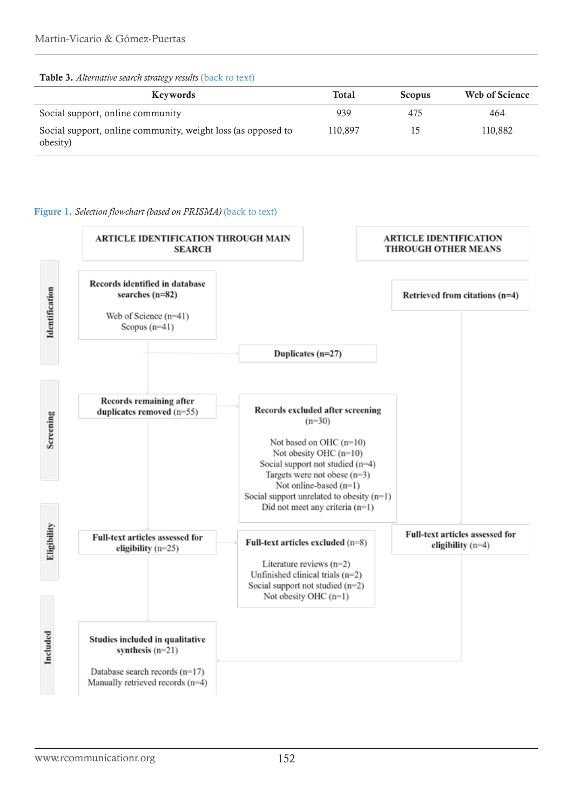#### <span id="page-6-1"></span>Table 3. *Alternative search strategy results* [\(back to text\)](#page-5-1)

| Keywords                                                                 | <b>Total</b> | <b>Scopus</b> | Web of Science |
|--------------------------------------------------------------------------|--------------|---------------|----------------|
| Social support, online community                                         | 939          | 475           | 464            |
| Social support, online community, weight loss (as opposed to<br>obesity) | 110.897      | 15            | 110,882        |

#### <span id="page-6-0"></span>Figure 1. *Selection flowchart (based on PRISMA)* [\(back to text\)](#page-5-2)

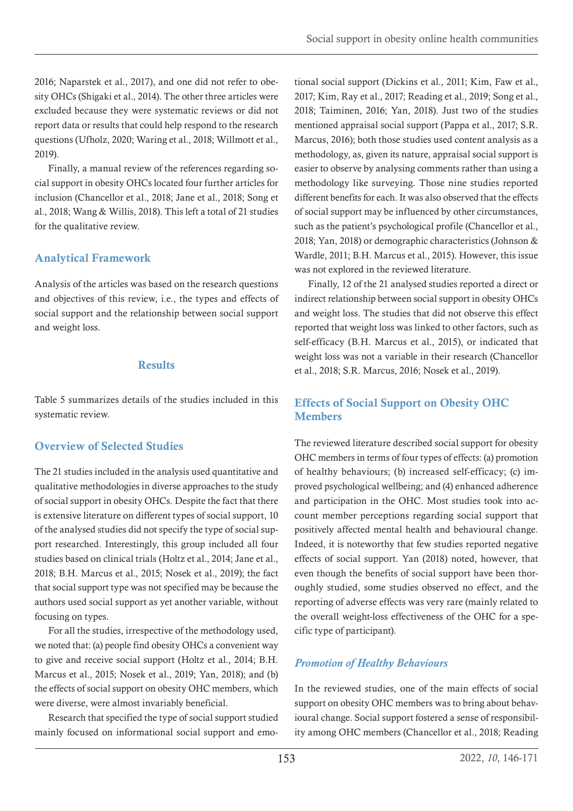<span id="page-7-0"></span>2016; Naparstek et al., 2017), and one did not refer to obesity OHCs (Shigaki et al., 2014). The other three articles were excluded because they were systematic reviews or did not report data or results that could help respond to the research questions (Ufholz, 2020; Waring et al., 2018; Willmott et al., 2019).

Finally, a manual review of the references regarding social support in obesity OHCs located four further articles for inclusion (Chancellor et al., 2018; Jane et al., 2018; Song et al., 2018; Wang & Willis, 2018). This left a total of 21 studies for the qualitative review.

## Analytical Framework

Analysis of the articles was based on the research questions and objectives of this review, i.e., the types and effects of social support and the relationship between social support and weight loss.

#### **Results**

Table 5 summarizes details of the studies included in this systematic review.

# Overview of Selected Studies

The 21 studies included in the analysis used quantitative and qualitative methodologies in diverse approaches to the study of social support in obesity OHCs. Despite the fact that there is extensive literature on different types of social support, 10 of the analysed studies did not specify the type of social support researched. Interestingly, this group included all four studies based on clinical trials (Holtz et al., 2014; Jane et al., 2018; B.H. Marcus et al., 2015; Nosek et al., 2019); the fact that social support type was not specified may be because the authors used social support as yet another variable, without focusing on types.

For all the studies, irrespective of the methodology used, we noted that: (a) people find obesity OHCs a convenient way to give and receive social support (Holtz et al., 2014; B.H. Marcus et al., 2015; Nosek et al., 2019; Yan, 2018); and (b) the effects of social support on obesity OHC members, which were diverse, were almost invariably beneficial.

Research that specified the type of social support studied mainly focused on informational social support and emotional social support (Dickins et al., 2011; Kim, Faw et al., 2017; Kim, Ray et al., 2017; Reading et al., 2019; Song et al., 2018; Taiminen, 2016; Yan, 2018). Just two of the studies mentioned appraisal social support (Pappa et al., 2017; S.R. Marcus, 2016); both those studies used content analysis as a methodology, as, given its nature, appraisal social support is easier to observe by analysing comments rather than using a methodology like surveying. Those nine studies reported different benefits for each. It was also observed that the effects of social support may be influenced by other circumstances, such as the patient's psychological profile (Chancellor et al., 2018; Yan, 2018) or demographic characteristics (Johnson & Wardle, 2011; B.H. Marcus et al., 2015). However, this issue was not explored in the reviewed literature.

Finally, 12 of the 21 analysed studies reported a direct or indirect relationship between social support in obesity OHCs and weight loss. The studies that did not observe this effect reported that weight loss was linked to other factors, such as self-efficacy (B.H. Marcus et al., 2015), or indicated that weight loss was not a variable in their research (Chancellor et al., 2018; S.R. Marcus, 2016; Nosek et al., 2019).

## Effects of Social Support on Obesity OHC Members

The reviewed literature described social support for obesity OHC members in terms of four types of effects: (a) promotion of healthy behaviours; (b) increased self-efficacy; (c) improved psychological wellbeing; and (4) enhanced adherence and participation in the OHC. Most studies took into account member perceptions regarding social support that positively affected mental health and behavioural change. Indeed, it is noteworthy that few studies reported negative effects of social support. Yan (2018) noted, however, that even though the benefits of social support have been thoroughly studied, some studies observed no effect, and the reporting of adverse effects was very rare (mainly related to the overall weight-loss effectiveness of the OHC for a specific type of participant).

# *Promotion of Healthy Behaviours*

In the reviewed studies, one of the main effects of social support on obesity OHC members was to bring about behavioural change. Social support fostered a sense of responsibility among OHC members (Chancellor et al., 2018; Reading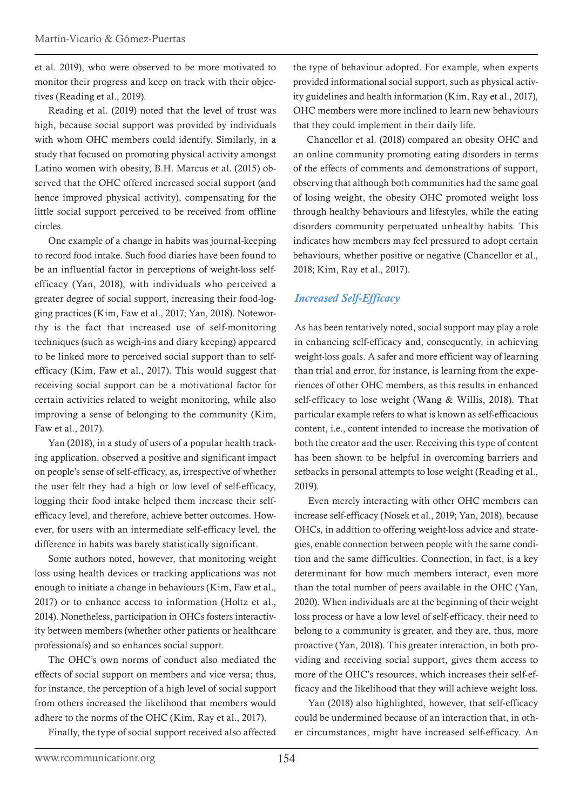<span id="page-8-0"></span>et al. 2019), who were observed to be more motivated to monitor their progress and keep on track with their objectives (Reading et al., 2019).

Reading et al. (2019) noted that the level of trust was high, because social support was provided by individuals with whom OHC members could identify. Similarly, in a study that focused on promoting physical activity amongst Latino women with obesity, B.H. Marcus et al. (2015) observed that the OHC offered increased social support (and hence improved physical activity), compensating for the little social support perceived to be received from offline circles.

One example of a change in habits was journal-keeping to record food intake. Such food diaries have been found to be an influential factor in perceptions of weight-loss selfefficacy (Yan, 2018), with individuals who perceived a greater degree of social support, increasing their food-logging practices (Kim, Faw et al., 2017; Yan, 2018). Noteworthy is the fact that increased use of self-monitoring techniques (such as weigh-ins and diary keeping) appeared to be linked more to perceived social support than to selfefficacy (Kim, Faw et al., 2017). This would suggest that receiving social support can be a motivational factor for certain activities related to weight monitoring, while also improving a sense of belonging to the community (Kim, Faw et al., 2017).

Yan (2018), in a study of users of a popular health tracking application, observed a positive and significant impact on people's sense of self-efficacy, as, irrespective of whether the user felt they had a high or low level of self-efficacy, logging their food intake helped them increase their selfefficacy level, and therefore, achieve better outcomes. However, for users with an intermediate self-efficacy level, the difference in habits was barely statistically significant.

Some authors noted, however, that monitoring weight loss using health devices or tracking applications was not enough to initiate a change in behaviours (Kim, Faw et al., 2017) or to enhance access to information (Holtz et al., 2014). Nonetheless, participation in OHCs fosters interactivity between members (whether other patients or healthcare professionals) and so enhances social support.

The OHC's own norms of conduct also mediated the effects of social support on members and vice versa; thus, for instance, the perception of a high level of social support from others increased the likelihood that members would adhere to the norms of the OHC (Kim, Ray et al., 2017).

Finally, the type of social support received also affected

the type of behaviour adopted. For example, when experts provided informational social support, such as physical activity guidelines and health information (Kim, Ray et al., 2017), OHC members were more inclined to learn new behaviours that they could implement in their daily life.

Chancellor et al. (2018) compared an obesity OHC and an online community promoting eating disorders in terms of the effects of comments and demonstrations of support, observing that although both communities had the same goal of losing weight, the obesity OHC promoted weight loss through healthy behaviours and lifestyles, while the eating disorders community perpetuated unhealthy habits. This indicates how members may feel pressured to adopt certain behaviours, whether positive or negative (Chancellor et al., 2018; Kim, Ray et al., 2017).

## *Increased Self-Efficacy*

As has been tentatively noted, social support may play a role in enhancing self-efficacy and, consequently, in achieving weight-loss goals. A safer and more efficient way of learning than trial and error, for instance, is learning from the experiences of other OHC members, as this results in enhanced self-efficacy to lose weight (Wang & Willis, 2018). That particular example refers to what is known as self-efficacious content, i.e., content intended to increase the motivation of both the creator and the user. Receiving this type of content has been shown to be helpful in overcoming barriers and setbacks in personal attempts to lose weight (Reading et al., 2019).

Even merely interacting with other OHC members can increase self-efficacy (Nosek et al., 2019; Yan, 2018), because OHCs, in addition to offering weight-loss advice and strategies, enable connection between people with the same condition and the same difficulties. Connection, in fact, is a key determinant for how much members interact, even more than the total number of peers available in the OHC (Yan, 2020). When individuals are at the beginning of their weight loss process or have a low level of self-efficacy, their need to belong to a community is greater, and they are, thus, more proactive (Yan, 2018). This greater interaction, in both providing and receiving social support, gives them access to more of the OHC's resources, which increases their self-efficacy and the likelihood that they will achieve weight loss.

Yan (2018) also highlighted, however, that self-efficacy could be undermined because of an interaction that, in other circumstances, might have increased self-efficacy. An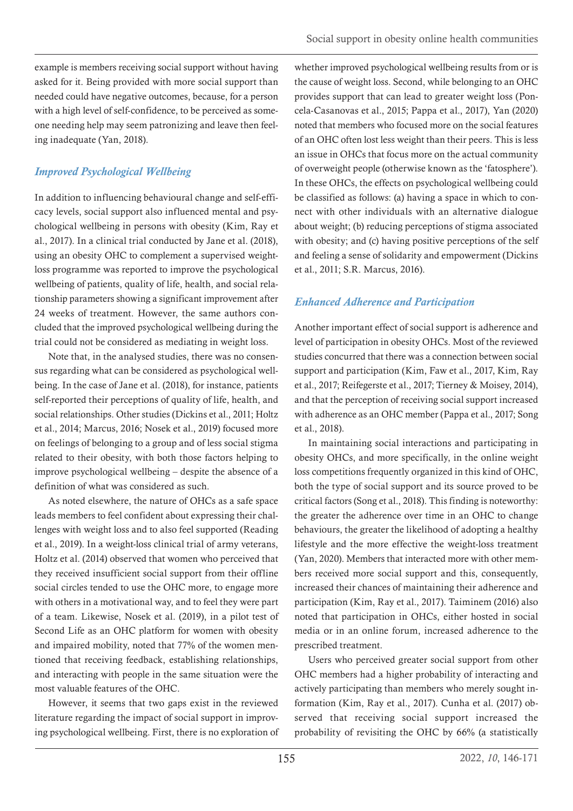<span id="page-9-0"></span>example is members receiving social support without having asked for it. Being provided with more social support than needed could have negative outcomes, because, for a person with a high level of self-confidence, to be perceived as someone needing help may seem patronizing and leave then feeling inadequate (Yan, 2018).

# *Improved Psychological Wellbeing*

In addition to influencing behavioural change and self-efficacy levels, social support also influenced mental and psychological wellbeing in persons with obesity (Kim, Ray et al., 2017). In a clinical trial conducted by Jane et al. (2018), using an obesity OHC to complement a supervised weightloss programme was reported to improve the psychological wellbeing of patients, quality of life, health, and social relationship parameters showing a significant improvement after 24 weeks of treatment. However, the same authors concluded that the improved psychological wellbeing during the trial could not be considered as mediating in weight loss.

Note that, in the analysed studies, there was no consensus regarding what can be considered as psychological wellbeing. In the case of Jane et al. (2018), for instance, patients self-reported their perceptions of quality of life, health, and social relationships. Other studies (Dickins et al., 2011; Holtz et al., 2014; Marcus, 2016; Nosek et al., 2019) focused more on feelings of belonging to a group and of less social stigma related to their obesity, with both those factors helping to improve psychological wellbeing – despite the absence of a definition of what was considered as such.

As noted elsewhere, the nature of OHCs as a safe space leads members to feel confident about expressing their challenges with weight loss and to also feel supported (Reading et al., 2019). In a weight-loss clinical trial of army veterans, Holtz et al. (2014) observed that women who perceived that they received insufficient social support from their offline social circles tended to use the OHC more, to engage more with others in a motivational way, and to feel they were part of a team. Likewise, Nosek et al. (2019), in a pilot test of Second Life as an OHC platform for women with obesity and impaired mobility, noted that 77% of the women mentioned that receiving feedback, establishing relationships, and interacting with people in the same situation were the most valuable features of the OHC.

However, it seems that two gaps exist in the reviewed literature regarding the impact of social support in improving psychological wellbeing. First, there is no exploration of whether improved psychological wellbeing results from or is the cause of weight loss. Second, while belonging to an OHC provides support that can lead to greater weight loss (Poncela-Casanovas et al., 2015; Pappa et al., 2017), Yan (2020) noted that members who focused more on the social features of an OHC often lost less weight than their peers. This is less an issue in OHCs that focus more on the actual community of overweight people (otherwise known as the 'fatosphere'). In these OHCs, the effects on psychological wellbeing could be classified as follows: (a) having a space in which to connect with other individuals with an alternative dialogue about weight; (b) reducing perceptions of stigma associated with obesity; and (c) having positive perceptions of the self and feeling a sense of solidarity and empowerment (Dickins et al., 2011; S.R. Marcus, 2016).

# *Enhanced Adherence and Participation*

Another important effect of social support is adherence and level of participation in obesity OHCs. Most of the reviewed studies concurred that there was a connection between social support and participation (Kim, Faw et al., 2017, Kim, Ray et al., 2017; Reifegerste et al., 2017; Tierney & Moisey, 2014), and that the perception of receiving social support increased with adherence as an OHC member (Pappa et al., 2017; Song et al., 2018).

In maintaining social interactions and participating in obesity OHCs, and more specifically, in the online weight loss competitions frequently organized in this kind of OHC, both the type of social support and its source proved to be critical factors (Song et al., 2018). This finding is noteworthy: the greater the adherence over time in an OHC to change behaviours, the greater the likelihood of adopting a healthy lifestyle and the more effective the weight-loss treatment (Yan, 2020). Members that interacted more with other members received more social support and this, consequently, increased their chances of maintaining their adherence and participation (Kim, Ray et al., 2017). Taiminem (2016) also noted that participation in OHCs, either hosted in social media or in an online forum, increased adherence to the prescribed treatment.

Users who perceived greater social support from other OHC members had a higher probability of interacting and actively participating than members who merely sought information (Kim, Ray et al., 2017). Cunha et al. (2017) observed that receiving social support increased the probability of revisiting the OHC by 66% (a statistically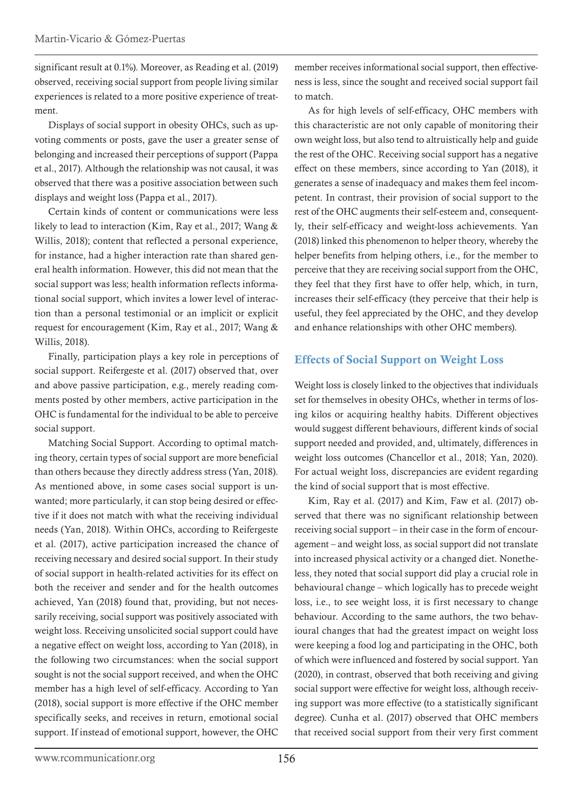<span id="page-10-0"></span>significant result at 0.1%). Moreover, as Reading et al. (2019) observed, receiving social support from people living similar experiences is related to a more positive experience of treatment.

Displays of social support in obesity OHCs, such as upvoting comments or posts, gave the user a greater sense of belonging and increased their perceptions of support (Pappa et al., 2017). Although the relationship was not causal, it was observed that there was a positive association between such displays and weight loss (Pappa et al., 2017).

Certain kinds of content or communications were less likely to lead to interaction (Kim, Ray et al., 2017; Wang & Willis, 2018); content that reflected a personal experience, for instance, had a higher interaction rate than shared general health information. However, this did not mean that the social support was less; health information reflects informational social support, which invites a lower level of interaction than a personal testimonial or an implicit or explicit request for encouragement (Kim, Ray et al., 2017; Wang & Willis, 2018).

Finally, participation plays a key role in perceptions of social support. Reifergeste et al. (2017) observed that, over and above passive participation, e.g., merely reading comments posted by other members, active participation in the OHC is fundamental for the individual to be able to perceive social support.

Matching Social Support. According to optimal matching theory, certain types of social support are more beneficial than others because they directly address stress (Yan, 2018). As mentioned above, in some cases social support is unwanted; more particularly, it can stop being desired or effective if it does not match with what the receiving individual needs (Yan, 2018). Within OHCs, according to Reifergeste et al. (2017), active participation increased the chance of receiving necessary and desired social support. In their study of social support in health-related activities for its effect on both the receiver and sender and for the health outcomes achieved, Yan (2018) found that, providing, but not necessarily receiving, social support was positively associated with weight loss. Receiving unsolicited social support could have a negative effect on weight loss, according to Yan (2018), in the following two circumstances: when the social support sought is not the social support received, and when the OHC member has a high level of self-efficacy. According to Yan (2018), social support is more effective if the OHC member specifically seeks, and receives in return, emotional social support. If instead of emotional support, however, the OHC

member receives informational social support, then effectiveness is less, since the sought and received social support fail to match.

As for high levels of self-efficacy, OHC members with this characteristic are not only capable of monitoring their own weight loss, but also tend to altruistically help and guide the rest of the OHC. Receiving social support has a negative effect on these members, since according to Yan (2018), it generates a sense of inadequacy and makes them feel incompetent. In contrast, their provision of social support to the rest of the OHC augments their self-esteem and, consequently, their self-efficacy and weight-loss achievements. Yan (2018) linked this phenomenon to helper theory, whereby the helper benefits from helping others, i.e., for the member to perceive that they are receiving social support from the OHC, they feel that they first have to offer help, which, in turn, increases their self-efficacy (they perceive that their help is useful, they feel appreciated by the OHC, and they develop and enhance relationships with other OHC members).

#### Effects of Social Support on Weight Loss

Weight loss is closely linked to the objectives that individuals set for themselves in obesity OHCs, whether in terms of losing kilos or acquiring healthy habits. Different objectives would suggest different behaviours, different kinds of social support needed and provided, and, ultimately, differences in weight loss outcomes (Chancellor et al., 2018; Yan, 2020). For actual weight loss, discrepancies are evident regarding the kind of social support that is most effective.

Kim, Ray et al. (2017) and Kim, Faw et al. (2017) observed that there was no significant relationship between receiving social support – in their case in the form of encouragement – and weight loss, as social support did not translate into increased physical activity or a changed diet. Nonetheless, they noted that social support did play a crucial role in behavioural change – which logically has to precede weight loss, i.e., to see weight loss, it is first necessary to change behaviour. According to the same authors, the two behavioural changes that had the greatest impact on weight loss were keeping a food log and participating in the OHC, both of which were influenced and fostered by social support. Yan (2020), in contrast, observed that both receiving and giving social support were effective for weight loss, although receiving support was more effective (to a statistically significant degree). Cunha et al. (2017) observed that OHC members that received social support from their very first comment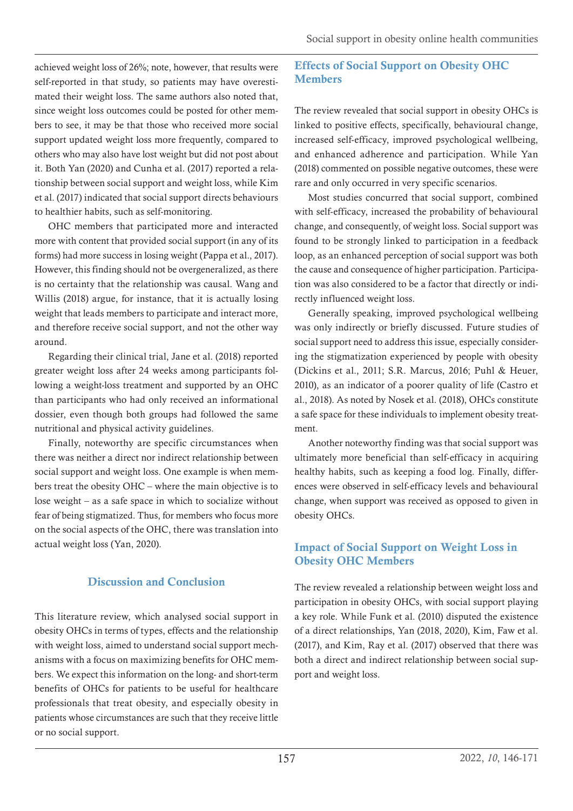<span id="page-11-0"></span>achieved weight loss of 26%; note, however, that results were self-reported in that study, so patients may have overestimated their weight loss. The same authors also noted that, since weight loss outcomes could be posted for other members to see, it may be that those who received more social support updated weight loss more frequently, compared to others who may also have lost weight but did not post about it. Both Yan (2020) and Cunha et al. (2017) reported a relationship between social support and weight loss, while Kim et al. (2017) indicated that social support directs behaviours to healthier habits, such as self-monitoring.

OHC members that participated more and interacted more with content that provided social support (in any of its forms) had more success in losing weight (Pappa et al., 2017). However, this finding should not be overgeneralized, as there is no certainty that the relationship was causal. Wang and Willis (2018) argue, for instance, that it is actually losing weight that leads members to participate and interact more, and therefore receive social support, and not the other way around.

Regarding their clinical trial, Jane et al. (2018) reported greater weight loss after 24 weeks among participants following a weight-loss treatment and supported by an OHC than participants who had only received an informational dossier, even though both groups had followed the same nutritional and physical activity guidelines.

Finally, noteworthy are specific circumstances when there was neither a direct nor indirect relationship between social support and weight loss. One example is when members treat the obesity OHC – where the main objective is to lose weight – as a safe space in which to socialize without fear of being stigmatized. Thus, for members who focus more on the social aspects of the OHC, there was translation into actual weight loss (Yan, 2020).

# Discussion and Conclusion

This literature review, which analysed social support in obesity OHCs in terms of types, effects and the relationship with weight loss, aimed to understand social support mechanisms with a focus on maximizing benefits for OHC members. We expect this information on the long- and short-term benefits of OHCs for patients to be useful for healthcare professionals that treat obesity, and especially obesity in patients whose circumstances are such that they receive little or no social support.

# Effects of Social Support on Obesity OHC Members

The review revealed that social support in obesity OHCs is linked to positive effects, specifically, behavioural change, increased self-efficacy, improved psychological wellbeing, and enhanced adherence and participation. While Yan (2018) commented on possible negative outcomes, these were rare and only occurred in very specific scenarios.

Most studies concurred that social support, combined with self-efficacy, increased the probability of behavioural change, and consequently, of weight loss. Social support was found to be strongly linked to participation in a feedback loop, as an enhanced perception of social support was both the cause and consequence of higher participation. Participation was also considered to be a factor that directly or indirectly influenced weight loss.

Generally speaking, improved psychological wellbeing was only indirectly or briefly discussed. Future studies of social support need to address this issue, especially considering the stigmatization experienced by people with obesity (Dickins et al., 2011; S.R. Marcus, 2016; Puhl & Heuer, 2010), as an indicator of a poorer quality of life (Castro et al., 2018). As noted by Nosek et al. (2018), OHCs constitute a safe space for these individuals to implement obesity treatment.

Another noteworthy finding was that social support was ultimately more beneficial than self-efficacy in acquiring healthy habits, such as keeping a food log. Finally, differences were observed in self-efficacy levels and behavioural change, when support was received as opposed to given in obesity OHCs.

# Impact of Social Support on Weight Loss in Obesity OHC Members

The review revealed a relationship between weight loss and participation in obesity OHCs, with social support playing a key role. While Funk et al. (2010) disputed the existence of a direct relationships, Yan (2018, 2020), Kim, Faw et al. (2017), and Kim, Ray et al. (2017) observed that there was both a direct and indirect relationship between social support and weight loss.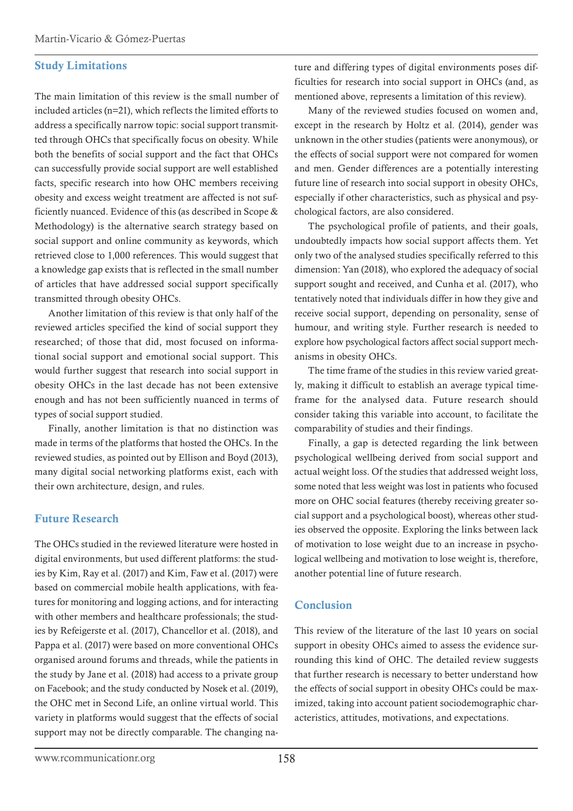#### <span id="page-12-0"></span>Study Limitations

The main limitation of this review is the small number of included articles (n=21), which reflects the limited efforts to address a specifically narrow topic: social support transmitted through OHCs that specifically focus on obesity. While both the benefits of social support and the fact that OHCs can successfully provide social support are well established facts, specific research into how OHC members receiving obesity and excess weight treatment are affected is not sufficiently nuanced. Evidence of this (as described in Scope & Methodology) is the alternative search strategy based on social support and online community as keywords, which retrieved close to 1,000 references. This would suggest that a knowledge gap exists that is reflected in the small number of articles that have addressed social support specifically transmitted through obesity OHCs.

Another limitation of this review is that only half of the reviewed articles specified the kind of social support they researched; of those that did, most focused on informational social support and emotional social support. This would further suggest that research into social support in obesity OHCs in the last decade has not been extensive enough and has not been sufficiently nuanced in terms of types of social support studied.

Finally, another limitation is that no distinction was made in terms of the platforms that hosted the OHCs. In the reviewed studies, as pointed out by Ellison and Boyd (2013), many digital social networking platforms exist, each with their own architecture, design, and rules.

#### Future Research

The OHCs studied in the reviewed literature were hosted in digital environments, but used different platforms: the studies by Kim, Ray et al. (2017) and Kim, Faw et al. (2017) were based on commercial mobile health applications, with features for monitoring and logging actions, and for interacting with other members and healthcare professionals; the studies by Refeigerste et al. (2017), Chancellor et al. (2018), and Pappa et al. (2017) were based on more conventional OHCs organised around forums and threads, while the patients in the study by Jane et al. (2018) had access to a private group on Facebook; and the study conducted by Nosek et al. (2019), the OHC met in Second Life, an online virtual world. This variety in platforms would suggest that the effects of social support may not be directly comparable. The changing nature and differing types of digital environments poses difficulties for research into social support in OHCs (and, as mentioned above, represents a limitation of this review).

Many of the reviewed studies focused on women and, except in the research by Holtz et al. (2014), gender was unknown in the other studies (patients were anonymous), or the effects of social support were not compared for women and men. Gender differences are a potentially interesting future line of research into social support in obesity OHCs, especially if other characteristics, such as physical and psychological factors, are also considered.

The psychological profile of patients, and their goals, undoubtedly impacts how social support affects them. Yet only two of the analysed studies specifically referred to this dimension: Yan (2018), who explored the adequacy of social support sought and received, and Cunha et al. (2017), who tentatively noted that individuals differ in how they give and receive social support, depending on personality, sense of humour, and writing style. Further research is needed to explore how psychological factors affect social support mechanisms in obesity OHCs.

The time frame of the studies in this review varied greatly, making it difficult to establish an average typical timeframe for the analysed data. Future research should consider taking this variable into account, to facilitate the comparability of studies and their findings.

Finally, a gap is detected regarding the link between psychological wellbeing derived from social support and actual weight loss. Of the studies that addressed weight loss, some noted that less weight was lost in patients who focused more on OHC social features (thereby receiving greater social support and a psychological boost), whereas other studies observed the opposite. Exploring the links between lack of motivation to lose weight due to an increase in psychological wellbeing and motivation to lose weight is, therefore, another potential line of future research.

#### Conclusion

This review of the literature of the last 10 years on social support in obesity OHCs aimed to assess the evidence surrounding this kind of OHC. The detailed review suggests that further research is necessary to better understand how the effects of social support in obesity OHCs could be maximized, taking into account patient sociodemographic characteristics, attitudes, motivations, and expectations.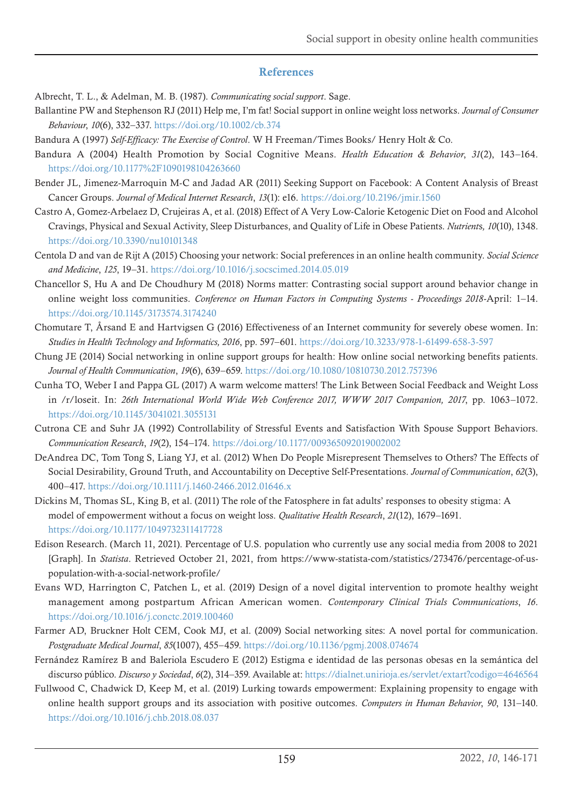## References

<span id="page-13-0"></span>Albrecht, T. L., & Adelman, M. B. (1987). *Communicating social support*. Sage.

- Ballantine PW and Stephenson RJ (2011) Help me, I'm fat! Social support in online weight loss networks. *Journal of Consumer Behaviour*, *10*(6), 332–337.<https://doi.org/10.1002/cb.374>
- Bandura A (1997) *Self-Efficacy: The Exercise of Control*. W H Freeman/Times Books/ Henry Holt & Co.
- Bandura A (2004) Health Promotion by Social Cognitive Means. *Health Education & Behavior*, *31*(2), 143–164. <https://doi.org/10.1177%2F1090198104263660>
- Bender JL, Jimenez-Marroquin M-C and Jadad AR (2011) Seeking Support on Facebook: A Content Analysis of Breast Cancer Groups. *Journal of Medical Internet Research*, *13*(1): e16. <https://doi.org/10.2196/jmir.1560>
- Castro A, Gomez-Arbelaez D, Crujeiras A, et al. (2018) Effect of A Very Low-Calorie Ketogenic Diet on Food and Alcohol Cravings, Physical and Sexual Activity, Sleep Disturbances, and Quality of Life in Obese Patients. *Nutrient*s*, 10*(10), 1348. <https://doi.org/10.3390/nu10101348>
- Centola D and van de Rijt A (2015) Choosing your network: Social preferences in an online health community. *Social Science and Medicine*, *125*, 19–31. <https://doi.org/10.1016/j.socscimed.2014.05.019>
- Chancellor S, Hu A and De Choudhury M (2018) Norms matter: Contrasting social support around behavior change in online weight loss communities. *Conference on Human Factors in Computing Systems - Proceedings 2018*-April: 1–14. <https://doi.org/10.1145/3173574.3174240>
- Chomutare T, Årsand E and Hartvigsen G (2016) Effectiveness of an Internet community for severely obese women. In: *Studies in Health Technology and Informatics, 2016*, pp. 597–601.<https://doi.org/10.3233/978-1-61499-658-3-597>
- Chung JE (2014) Social networking in online support groups for health: How online social networking benefits patients. *Journal of Health Communication*, *19*(6), 639–659. <https://doi.org/10.1080/10810730.2012.757396>
- Cunha TO, Weber I and Pappa GL (2017) A warm welcome matters! The Link Between Social Feedback and Weight Loss in /r/loseit. In: *26th International World Wide Web Conference 2017, WWW 2017 Companion, 2017*, pp. 1063–1072. <https://doi.org/10.1145/3041021.3055131>
- Cutrona CE and Suhr JA (1992) Controllability of Stressful Events and Satisfaction With Spouse Support Behaviors. *Communication Research*, *19*(2), 154–174. <https://doi.org/10.1177/009365092019002002>
- DeAndrea DC, Tom Tong S, Liang YJ, et al. (2012) When Do People Misrepresent Themselves to Others? The Effects of Social Desirability, Ground Truth, and Accountability on Deceptive Self-Presentations. *Journal of Communication*, *62*(3), 400–417.<https://doi.org/10.1111/j.1460-2466.2012.01646.x>
- Dickins M, Thomas SL, King B, et al. (2011) The role of the Fatosphere in fat adults' responses to obesity stigma: A model of empowerment without a focus on weight loss. *Qualitative Health Research*, *21*(12), 1679–1691. <https://doi.org/10.1177/1049732311417728>
- Edison Research. (March 11, 2021). Percentage of U.S. population who currently use any social media from 2008 to 2021 [Graph]. In *Statista*. Retrieved October 21, 2021, from https://www-statista-com/statistics/273476/percentage-of-uspopulation-with-a-social-network-profile/
- Evans WD, Harrington C, Patchen L, et al. (2019) Design of a novel digital intervention to promote healthy weight management among postpartum African American women. *Contemporary Clinical Trials Communications*, *16*. <https://doi.org/10.1016/j.conctc.2019.100460>
- Farmer AD, Bruckner Holt CEM, Cook MJ, et al. (2009) Social networking sites: A novel portal for communication. *Postgraduate Medical Journal*, *85*(1007), 455–459.<https://doi.org/10.1136/pgmj.2008.074674>
- Fernández Ramírez B and Baleriola Escudero E (2012) Estigma e identidad de las personas obesas en la semántica del discurso público. *Discurso y Sociedad*, *6*(2), 314–359. Available at:<https://dialnet.unirioja.es/servlet/extart?codigo=4646564>
- Fullwood C, Chadwick D, Keep M, et al. (2019) Lurking towards empowerment: Explaining propensity to engage with online health support groups and its association with positive outcomes. *Computers in Human Behavior*, *90*, 131–140. <https://doi.org/10.1016/j.chb.2018.08.037>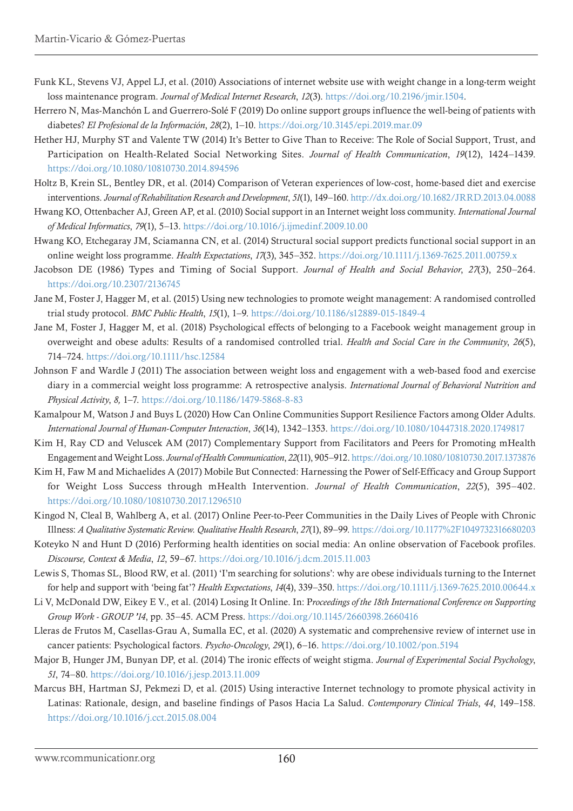- Funk KL, Stevens VJ, Appel LJ, et al. (2010) Associations of internet website use with weight change in a long-term weight loss maintenance program. *Journal of Medical Internet Research*, *12*(3). [https://doi.org/10.2196/jmir.1504.](https://doi.org/10.2196/jmir.1504)
- Herrero N, Mas-Manchón L and Guerrero-Solé F (2019) Do online support groups influence the well-being of patients with diabetes? *El Profesional de la Información*, *28*(2), 1–10. <https://doi.org/10.3145/epi.2019.mar.09>
- Hether HJ, Murphy ST and Valente TW (2014) It's Better to Give Than to Receive: The Role of Social Support, Trust, and Participation on Health-Related Social Networking Sites. *Journal of Health Communication*, *19*(12), 1424–1439. <https://doi.org/10.1080/10810730.2014.894596>
- Holtz B, Krein SL, Bentley DR, et al. (2014) Comparison of Veteran experiences of low-cost, home-based diet and exercise interventions. *Journal of Rehabilitation Research and Development*, *51*(1), 149–160.<http://dx.doi.org/10.1682/JRRD.2013.04.0088>
- Hwang KO, Ottenbacher AJ, Green AP, et al. (2010) Social support in an Internet weight loss community. *International Journal of Medical Informatics*, *79*(1), 5–13. <https://doi.org/10.1016/j.ijmedinf.2009.10.00>
- Hwang KO, Etchegaray JM, Sciamanna CN, et al. (2014) Structural social support predicts functional social support in an online weight loss programme. *Health Expectations*, *17*(3), 345–352.<https://doi.org/10.1111/j.1369-7625.2011.00759.x>
- Jacobson DE (1986) Types and Timing of Social Support. *Journal of Health and Social Behavior*, *27*(3), 250–264. <https://doi.org/10.2307/2136745>
- Jane M, Foster J, Hagger M, et al. (2015) Using new technologies to promote weight management: A randomised controlled trial study protocol. *BMC Public Health*, *15*(1), 1–9.<https://doi.org/10.1186/s12889-015-1849-4>
- Jane M, Foster J, Hagger M, et al. (2018) Psychological effects of belonging to a Facebook weight management group in overweight and obese adults: Results of a randomised controlled trial. *Health and Social Care in the Community*, *26*(5), 714–724. <https://doi.org/10.1111/hsc.12584>
- Johnson F and Wardle J (2011) The association between weight loss and engagement with a web-based food and exercise diary in a commercial weight loss programme: A retrospective analysis. *International Journal of Behavioral Nutrition and Physical Activity*, *8,* 1–7.<https://doi.org/10.1186/1479-5868-8-83>
- Kamalpour M, Watson J and Buys L (2020) How Can Online Communities Support Resilience Factors among Older Adults. *International Journal of Human-Computer Interaction*, *36*(14), 1342–1353.<https://doi.org/10.1080/10447318.2020.1749817>
- Kim H, Ray CD and Veluscek AM (2017) Complementary Support from Facilitators and Peers for Promoting mHealth Engagement and Weight Loss. *Journal of Health Communication*, *22*(11), 905–912.<https://doi.org/10.1080/10810730.2017.1373876>
- Kim H, Faw M and Michaelides A (2017) Mobile But Connected: Harnessing the Power of Self-Efficacy and Group Support for Weight Loss Success through mHealth Intervention. *Journal of Health Communication*, *22*(5), 395–402. <https://doi.org/10.1080/10810730.2017.1296510>
- Kingod N, Cleal B, Wahlberg A, et al. (2017) Online Peer-to-Peer Communities in the Daily Lives of People with Chronic Illness: *A Qualitative Systematic Review. Qualitative Health Research*, *27*(1), 89–99.<https://doi.org/10.1177%2F1049732316680203>
- Koteyko N and Hunt D (2016) Performing health identities on social media: An online observation of Facebook profiles. *Discourse, Context & Media*, *12*, 59–67. <https://doi.org/10.1016/j.dcm.2015.11.003>
- Lewis S, Thomas SL, Blood RW, et al. (2011) 'I'm searching for solutions': why are obese individuals turning to the Internet for help and support with 'being fat'? *Health Expectations*, *14*(4), 339–350.<https://doi.org/10.1111/j.1369-7625.2010.00644.x>
- Li V, McDonald DW, Eikey E V., et al. (2014) Losing It Online. In: P*roceedings of the 18th International Conference on Supporting Group Work - GROUP '14*, pp. 35–45. ACM Press. <https://doi.org/10.1145/2660398.2660416>
- Lleras de Frutos M, Casellas-Grau A, Sumalla EC, et al. (2020) A systematic and comprehensive review of internet use in cancer patients: Psychological factors. *Psycho-Oncology*, *29*(1), 6–16.<https://doi.org/10.1002/pon.5194>
- Major B, Hunger JM, Bunyan DP, et al. (2014) The ironic effects of weight stigma. *Journal of Experimental Social Psychology*, *51*, 74–80.<https://doi.org/10.1016/j.jesp.2013.11.009>
- Marcus BH, Hartman SJ, Pekmezi D, et al. (2015) Using interactive Internet technology to promote physical activity in Latinas: Rationale, design, and baseline findings of Pasos Hacia La Salud. *Contemporary Clinical Trials*, *44*, 149–158. <https://doi.org/10.1016/j.cct.2015.08.004>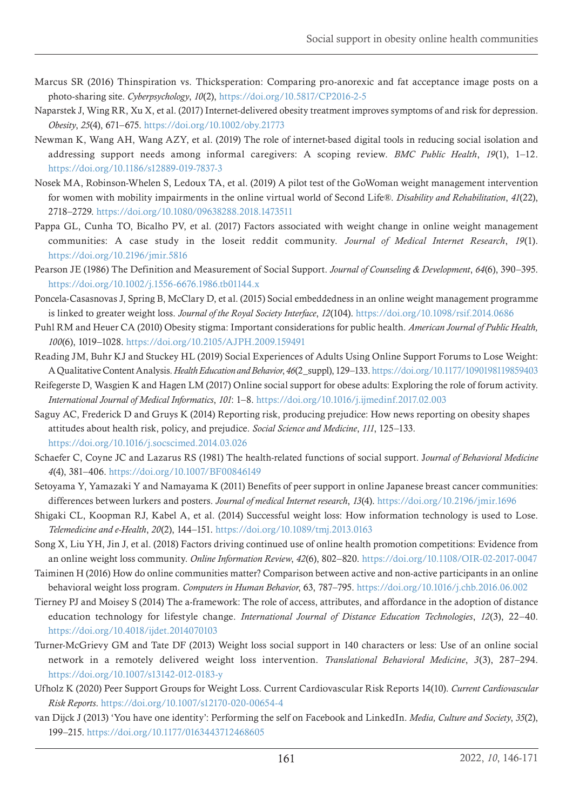- Marcus SR (2016) Thinspiration vs. Thicksperation: Comparing pro-anorexic and fat acceptance image posts on a photo-sharing site. *Cyberpsychology*, *10*(2), <https://doi.org/10.5817/CP2016-2-5>
- Naparstek J, Wing RR, Xu X, et al. (2017) Internet-delivered obesity treatment improves symptoms of and risk for depression. *Obesity*, *25*(4), 671–675. <https://doi.org/10.1002/oby.21773>
- Newman K, Wang AH, Wang AZY, et al. (2019) The role of internet-based digital tools in reducing social isolation and addressing support needs among informal caregivers: A scoping review. *BMC Public Health*, *19*(1), 1–12. <https://doi.org/10.1186/s12889-019-7837-3>
- Nosek MA, Robinson-Whelen S, Ledoux TA, et al. (2019) A pilot test of the GoWoman weight management intervention for women with mobility impairments in the online virtual world of Second Life®. *Disability and Rehabilitation*, *41*(22), 2718–2729.<https://doi.org/10.1080/09638288.2018.1473511>
- Pappa GL, Cunha TO, Bicalho PV, et al. (2017) Factors associated with weight change in online weight management communities: A case study in the loseit reddit community. *Journal of Medical Internet Research*, *19*(1). <https://doi.org/10.2196/jmir.5816>
- Pearson JE (1986) The Definition and Measurement of Social Support. *Journal of Counseling & Development*, *64*(6), 390–395. <https://doi.org/10.1002/j.1556-6676.1986.tb01144.x>
- Poncela-Casasnovas J, Spring B, McClary D, et al. (2015) Social embeddedness in an online weight management programme is linked to greater weight loss. *Journal of the Royal Society Interface*, *12*(104). <https://doi.org/10.1098/rsif.2014.0686>
- Puhl RM and Heuer CA (2010) Obesity stigma: Important considerations for public health. *American Journal of Public Health, 100*(6), 1019–1028.<https://doi.org/10.2105/AJPH.2009.159491>
- Reading JM, Buhr KJ and Stuckey HL (2019) Social Experiences of Adults Using Online Support Forums to Lose Weight: A Qualitative Content Analysis. *Health Education and Behavior*, *46*(2\_suppl), 129–133.<https://doi.org/10.1177/1090198119859403>
- Reifegerste D, Wasgien K and Hagen LM (2017) Online social support for obese adults: Exploring the role of forum activity. *International Journal of Medical Informatics*, *101*: 1–8.<https://doi.org/10.1016/j.ijmedinf.2017.02.003>
- Saguy AC, Frederick D and Gruys K (2014) Reporting risk, producing prejudice: How news reporting on obesity shapes attitudes about health risk, policy, and prejudice. *Social Science and Medicine*, *111*, 125–133. <https://doi.org/10.1016/j.socscimed.2014.03.026>
- Schaefer C, Coyne JC and Lazarus RS (1981) The health-related functions of social support. J*ournal of Behavioral Medicine 4*(4), 381–406.<https://doi.org/10.1007/BF00846149>
- Setoyama Y, Yamazaki Y and Namayama K (2011) Benefits of peer support in online Japanese breast cancer communities: differences between lurkers and posters. *Journal of medical Internet research*, *13*(4).<https://doi.org/10.2196/jmir.1696>
- Shigaki CL, Koopman RJ, Kabel A, et al. (2014) Successful weight loss: How information technology is used to Lose. *Telemedicine and e-Health*, *20*(2), 144–151. <https://doi.org/10.1089/tmj.2013.0163>
- Song X, Liu YH, Jin J, et al. (2018) Factors driving continued use of online health promotion competitions: Evidence from an online weight loss community. *Online Information Review*, *42*(6), 802–820.<https://doi.org/10.1108/OIR-02-2017-0047>
- Taiminen H (2016) How do online communities matter? Comparison between active and non-active participants in an online behavioral weight loss program. *Computers in Human Behavior*, 63, 787–795. <https://doi.org/10.1016/j.chb.2016.06.002>
- Tierney PJ and Moisey S (2014) The a-framework: The role of access, attributes, and affordance in the adoption of distance education technology for lifestyle change. *International Journal of Distance Education Technologies*, *12*(3), 22–40. <https://doi.org/10.4018/ijdet.2014070103>
- Turner-McGrievy GM and Tate DF (2013) Weight loss social support in 140 characters or less: Use of an online social network in a remotely delivered weight loss intervention. *Translational Behavioral Medicine*, *3*(3), 287–294. <https://doi.org/10.1007/s13142-012-0183-y>
- Ufholz K (2020) Peer Support Groups for Weight Loss. Current Cardiovascular Risk Reports 14(10). *Current Cardiovascular Risk Reports*. <https://doi.org/10.1007/s12170-020-00654-4>
- van Dijck J (2013) 'You have one identity': Performing the self on Facebook and LinkedIn. *Media, Culture and Society*, *35*(2), 199–215.<https://doi.org/10.1177/0163443712468605>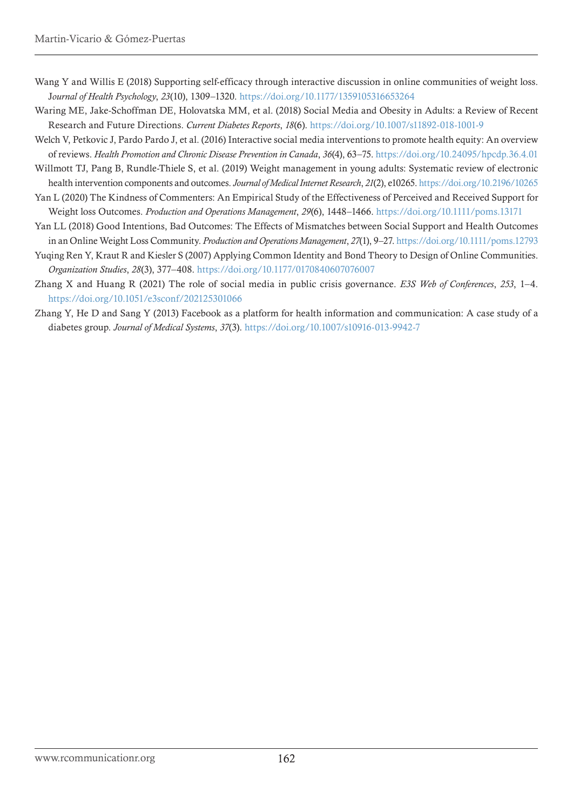- Wang Y and Willis E (2018) Supporting self-efficacy through interactive discussion in online communities of weight loss. J*ournal of Health Psychology*, *23*(10), 1309–1320. <https://doi.org/10.1177/1359105316653264>
- Waring ME, Jake-Schoffman DE, Holovatska MM, et al. (2018) Social Media and Obesity in Adults: a Review of Recent Research and Future Directions. *Current Diabetes Reports*, *18*(6).<https://doi.org/10.1007/s11892-018-1001-9>
- Welch V, Petkovic J, Pardo Pardo J, et al. (2016) Interactive social media interventions to promote health equity: An overview of reviews. *Health Promotion and Chronic Disease Prevention in Canada*, *36*(4), 63–75.<https://doi.org/10.24095/hpcdp.36.4.01>
- Willmott TJ, Pang B, Rundle-Thiele S, et al. (2019) Weight management in young adults: Systematic review of electronic health intervention components and outcomes. *Journal of Medical Internet Research*, *21*(2), e10265.<https://doi.org/10.2196/10265>
- Yan L (2020) The Kindness of Commenters: An Empirical Study of the Effectiveness of Perceived and Received Support for Weight loss Outcomes. *Production and Operations Management*, *29*(6), 1448–1466. <https://doi.org/10.1111/poms.13171>
- Yan LL (2018) Good Intentions, Bad Outcomes: The Effects of Mismatches between Social Support and Health Outcomes in an Online Weight Loss Community. *Production and Operations Management*, *27*(1), 9–27.<https://doi.org/10.1111/poms.12793>
- Yuqing Ren Y, Kraut R and Kiesler S (2007) Applying Common Identity and Bond Theory to Design of Online Communities. *Organization Studies*, *28*(3), 377–408. <https://doi.org/10.1177/0170840607076007>
- Zhang X and Huang R (2021) The role of social media in public crisis governance. *E3S Web of Conferences*, *253*, 1–4. <https://doi.org/10.1051/e3sconf/202125301066>
- Zhang Y, He D and Sang Y (2013) Facebook as a platform for health information and communication: A case study of a diabetes group. *Journal of Medical Systems*, *37*(3).<https://doi.org/10.1007/s10916-013-9942-7>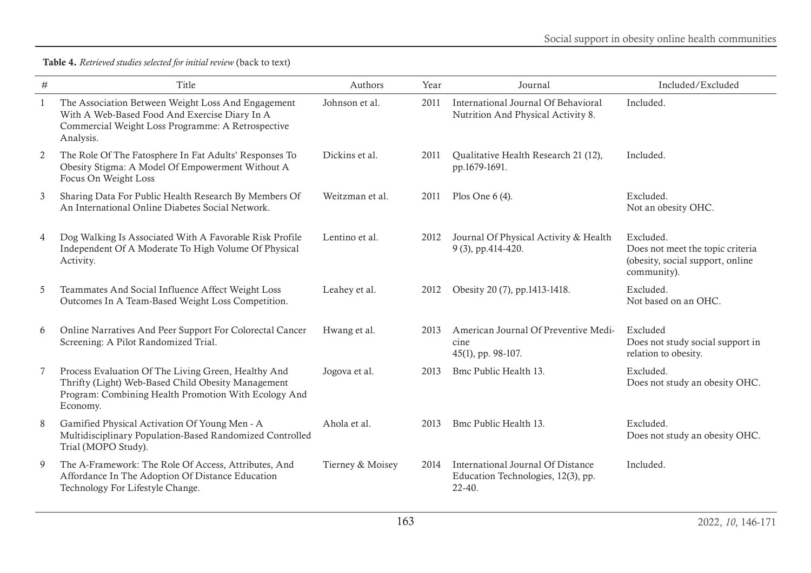| $\#$ | Title                                                                                                                                                                         | Authors          | Year | Journal                                                                               | Included/Excluded                                                                                |
|------|-------------------------------------------------------------------------------------------------------------------------------------------------------------------------------|------------------|------|---------------------------------------------------------------------------------------|--------------------------------------------------------------------------------------------------|
| -1   | The Association Between Weight Loss And Engagement<br>With A Web-Based Food And Exercise Diary In A<br>Commercial Weight Loss Programme: A Retrospective<br>Analysis.         | Johnson et al.   | 2011 | International Journal Of Behavioral<br>Nutrition And Physical Activity 8.             | Included.                                                                                        |
| 2    | The Role Of The Fatosphere In Fat Adults' Responses To<br>Obesity Stigma: A Model Of Empowerment Without A<br>Focus On Weight Loss                                            | Dickins et al.   | 2011 | Qualitative Health Research 21 (12),<br>pp.1679-1691.                                 | Included.                                                                                        |
| 3    | Sharing Data For Public Health Research By Members Of<br>An International Online Diabetes Social Network.                                                                     | Weitzman et al.  | 2011 | Plos One $6(4)$ .                                                                     | Excluded.<br>Not an obesity OHC.                                                                 |
| 4    | Dog Walking Is Associated With A Favorable Risk Profile<br>Independent Of A Moderate To High Volume Of Physical<br>Activity.                                                  | Lentino et al.   | 2012 | Journal Of Physical Activity & Health<br>9 (3), pp.414-420.                           | Excluded.<br>Does not meet the topic criteria<br>(obesity, social support, online<br>community). |
| 5    | Teammates And Social Influence Affect Weight Loss<br>Outcomes In A Team-Based Weight Loss Competition.                                                                        | Leahey et al.    | 2012 | Obesity 20 (7), pp.1413-1418.                                                         | Excluded.<br>Not based on an OHC.                                                                |
| 6    | Online Narratives And Peer Support For Colorectal Cancer<br>Screening: A Pilot Randomized Trial.                                                                              | Hwang et al.     | 2013 | American Journal Of Preventive Medi-<br>cine<br>45(1), pp. 98-107.                    | Excluded<br>Does not study social support in<br>relation to obesity.                             |
| 7    | Process Evaluation Of The Living Green, Healthy And<br>Thrifty (Light) Web-Based Child Obesity Management<br>Program: Combining Health Promotion With Ecology And<br>Economy. | Jogova et al.    | 2013 | Bmc Public Health 13.                                                                 | Excluded.<br>Does not study an obesity OHC.                                                      |
| 8    | Gamified Physical Activation Of Young Men - A<br>Multidisciplinary Population-Based Randomized Controlled<br>Trial (MOPO Study).                                              | Ahola et al.     | 2013 | Bmc Public Health 13.                                                                 | Excluded.<br>Does not study an obesity OHC.                                                      |
| 9    | The A-Framework: The Role Of Access, Attributes, And<br>Affordance In The Adoption Of Distance Education<br>Technology For Lifestyle Change.                                  | Tierney & Moisey | 2014 | International Journal Of Distance<br>Education Technologies, 12(3), pp.<br>$22 - 40.$ | Included.                                                                                        |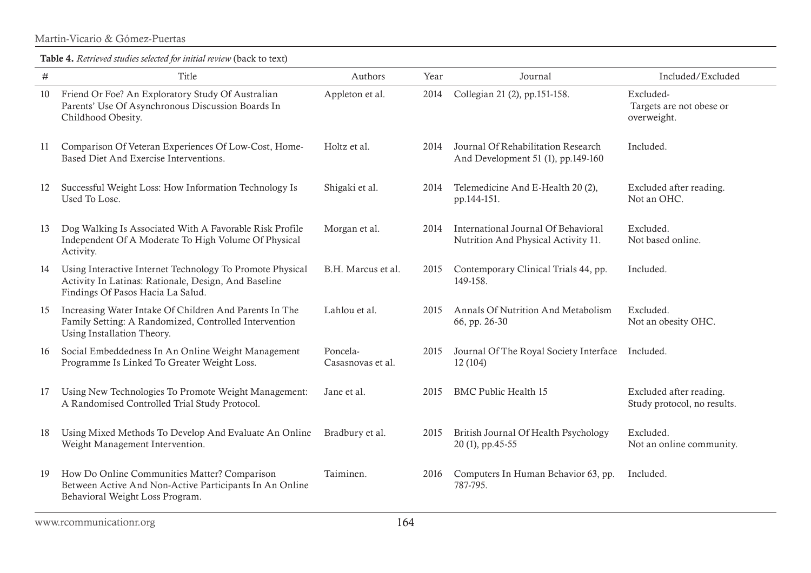Martin-Vicario & Gómez-Puertas

| $\#$ | Title                                                                                                                                                  | Authors                       | Year | Journal                                                                    | Included/Excluded                                      |
|------|--------------------------------------------------------------------------------------------------------------------------------------------------------|-------------------------------|------|----------------------------------------------------------------------------|--------------------------------------------------------|
| 10   | Friend Or Foe? An Exploratory Study Of Australian<br>Parents' Use Of Asynchronous Discussion Boards In<br>Childhood Obesity.                           | Appleton et al.               | 2014 | Collegian 21 (2), pp.151-158.                                              | Excluded-<br>Targets are not obese or<br>overweight.   |
| 11   | Comparison Of Veteran Experiences Of Low-Cost, Home-<br>Based Diet And Exercise Interventions.                                                         | Holtz et al.                  | 2014 | Journal Of Rehabilitation Research<br>And Development 51 (1), pp.149-160   | Included.                                              |
| 12   | Successful Weight Loss: How Information Technology Is<br>Used To Lose.                                                                                 | Shigaki et al.                | 2014 | Telemedicine And E-Health 20 (2),<br>pp.144-151.                           | Excluded after reading.<br>Not an OHC.                 |
| 13   | Dog Walking Is Associated With A Favorable Risk Profile<br>Independent Of A Moderate To High Volume Of Physical<br>Activity.                           | Morgan et al.                 | 2014 | International Journal Of Behavioral<br>Nutrition And Physical Activity 11. | Excluded.<br>Not based online.                         |
| 14   | Using Interactive Internet Technology To Promote Physical<br>Activity In Latinas: Rationale, Design, And Baseline<br>Findings Of Pasos Hacia La Salud. | B.H. Marcus et al.            | 2015 | Contemporary Clinical Trials 44, pp.<br>149-158.                           | Included.                                              |
| 15   | Increasing Water Intake Of Children And Parents In The<br>Family Setting: A Randomized, Controlled Intervention<br>Using Installation Theory.          | Lahlou et al.                 | 2015 | Annals Of Nutrition And Metabolism<br>66, pp. 26-30                        | Excluded.<br>Not an obesity OHC.                       |
| 16   | Social Embeddedness In An Online Weight Management<br>Programme Is Linked To Greater Weight Loss.                                                      | Poncela-<br>Casasnovas et al. | 2015 | Journal Of The Royal Society Interface<br>12 (104)                         | Included.                                              |
| 17   | Using New Technologies To Promote Weight Management:<br>A Randomised Controlled Trial Study Protocol.                                                  | Jane et al.                   | 2015 | <b>BMC Public Health 15</b>                                                | Excluded after reading.<br>Study protocol, no results. |
| 18   | Using Mixed Methods To Develop And Evaluate An Online<br>Weight Management Intervention.                                                               | Bradbury et al.               | 2015 | British Journal Of Health Psychology<br>20(1), pp.45-55                    | Excluded.<br>Not an online community.                  |
| 19   | How Do Online Communities Matter? Comparison<br>Between Active And Non-Active Participants In An Online<br>Behavioral Weight Loss Program.             | Taiminen.                     | 2016 | Computers In Human Behavior 63, pp.<br>787-795.                            | Included.                                              |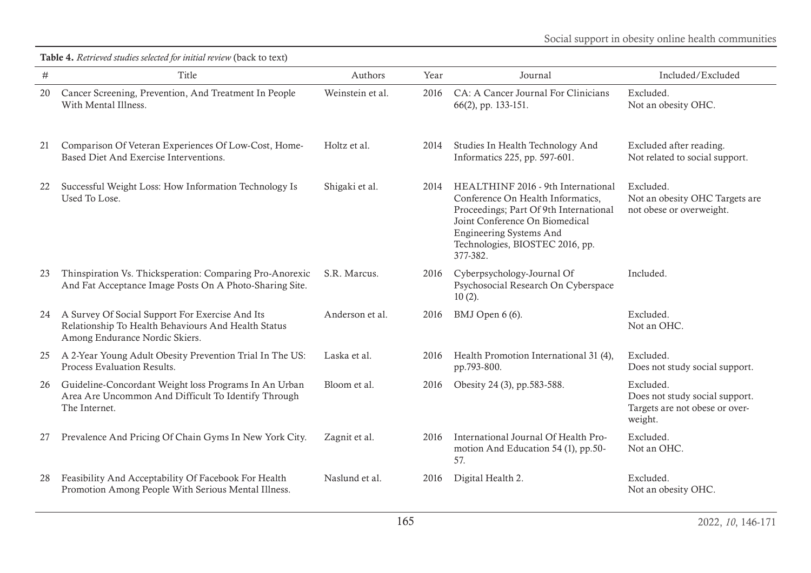Table 4. *Retrieved studies selected for initial review* (back to text)

| $\#$ | Title                                                                                                                                    | Authors          | Year | Journal                                                                                                                                                                                                                              | Included/Excluded                                                                        |
|------|------------------------------------------------------------------------------------------------------------------------------------------|------------------|------|--------------------------------------------------------------------------------------------------------------------------------------------------------------------------------------------------------------------------------------|------------------------------------------------------------------------------------------|
| 20   | Cancer Screening, Prevention, And Treatment In People<br>With Mental Illness.                                                            | Weinstein et al. | 2016 | CA: A Cancer Journal For Clinicians<br>66(2), pp. 133-151.                                                                                                                                                                           | Excluded.<br>Not an obesity OHC.                                                         |
| 21   | Comparison Of Veteran Experiences Of Low-Cost, Home-<br>Based Diet And Exercise Interventions.                                           | Holtz et al.     | 2014 | Studies In Health Technology And<br>Informatics 225, pp. 597-601.                                                                                                                                                                    | Excluded after reading.<br>Not related to social support.                                |
| 22   | Successful Weight Loss: How Information Technology Is<br>Used To Lose.                                                                   | Shigaki et al.   | 2014 | HEALTHINF 2016 - 9th International<br>Conference On Health Informatics,<br>Proceedings; Part Of 9th International<br>Joint Conference On Biomedical<br><b>Engineering Systems And</b><br>Technologies, BIOSTEC 2016, pp.<br>377-382. | Excluded.<br>Not an obesity OHC Targets are<br>not obese or overweight.                  |
| 23   | Thinspiration Vs. Thicksperation: Comparing Pro-Anorexic<br>And Fat Acceptance Image Posts On A Photo-Sharing Site.                      | S.R. Marcus.     | 2016 | Cyberpsychology-Journal Of<br>Psychosocial Research On Cyberspace<br>$10(2)$ .                                                                                                                                                       | Included.                                                                                |
| 24   | A Survey Of Social Support For Exercise And Its<br>Relationship To Health Behaviours And Health Status<br>Among Endurance Nordic Skiers. | Anderson et al.  | 2016 | BMJ Open 6 (6).                                                                                                                                                                                                                      | Excluded.<br>Not an OHC.                                                                 |
| 25   | A 2-Year Young Adult Obesity Prevention Trial In The US:<br>Process Evaluation Results.                                                  | Laska et al.     | 2016 | Health Promotion International 31 (4),<br>pp.793-800.                                                                                                                                                                                | Excluded.<br>Does not study social support.                                              |
| 26   | Guideline-Concordant Weight loss Programs In An Urban<br>Area Are Uncommon And Difficult To Identify Through<br>The Internet.            | Bloom et al.     | 2016 | Obesity 24 (3), pp.583-588.                                                                                                                                                                                                          | Excluded.<br>Does not study social support.<br>Targets are not obese or over-<br>weight. |
| 27   | Prevalence And Pricing Of Chain Gyms In New York City.                                                                                   | Zagnit et al.    | 2016 | International Journal Of Health Pro-<br>motion And Education 54 (1), pp.50-<br>57.                                                                                                                                                   | Excluded.<br>Not an OHC.                                                                 |
| 28   | Feasibility And Acceptability Of Facebook For Health<br>Promotion Among People With Serious Mental Illness.                              | Naslund et al.   | 2016 | Digital Health 2.                                                                                                                                                                                                                    | Excluded.<br>Not an obesity OHC.                                                         |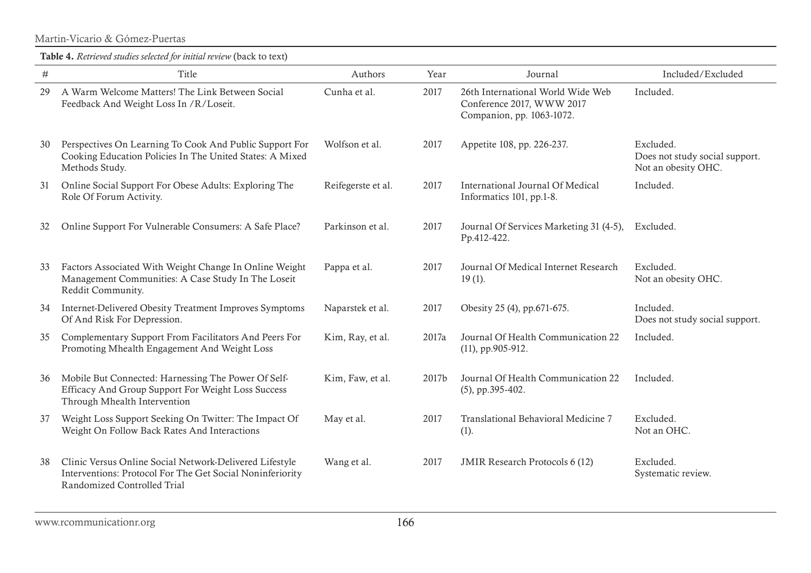Martin-Vicario & Gómez-Puertas

| $\#$ | Title                                                                                                                                               | Authors            | Year  | Journal                                                                                     | Included/Excluded                                                  |
|------|-----------------------------------------------------------------------------------------------------------------------------------------------------|--------------------|-------|---------------------------------------------------------------------------------------------|--------------------------------------------------------------------|
| 29   | A Warm Welcome Matters! The Link Between Social<br>Feedback And Weight Loss In /R/Loseit.                                                           | Cunha et al.       | 2017  | 26th International World Wide Web<br>Conference 2017, WWW 2017<br>Companion, pp. 1063-1072. | Included.                                                          |
| 30   | Perspectives On Learning To Cook And Public Support For<br>Cooking Education Policies In The United States: A Mixed<br>Methods Study.               | Wolfson et al.     | 2017  | Appetite 108, pp. 226-237.                                                                  | Excluded.<br>Does not study social support.<br>Not an obesity OHC. |
| 31   | Online Social Support For Obese Adults: Exploring The<br>Role Of Forum Activity.                                                                    | Reifegerste et al. | 2017  | International Journal Of Medical<br>Informatics 101, pp.1-8.                                | Included.                                                          |
| 32   | Online Support For Vulnerable Consumers: A Safe Place?                                                                                              | Parkinson et al.   | 2017  | Journal Of Services Marketing 31 (4-5),<br>Pp.412-422.                                      | Excluded.                                                          |
| 33   | Factors Associated With Weight Change In Online Weight<br>Management Communities: A Case Study In The Loseit<br>Reddit Community.                   | Pappa et al.       | 2017  | Journal Of Medical Internet Research<br>$19(1)$ .                                           | Excluded.<br>Not an obesity OHC.                                   |
| 34   | Internet-Delivered Obesity Treatment Improves Symptoms<br>Of And Risk For Depression.                                                               | Naparstek et al.   | 2017  | Obesity 25 (4), pp.671-675.                                                                 | Included.<br>Does not study social support.                        |
| 35   | Complementary Support From Facilitators And Peers For<br>Promoting Mhealth Engagement And Weight Loss                                               | Kim, Ray, et al.   | 2017a | Journal Of Health Communication 22<br>$(11)$ , pp.905-912.                                  | Included.                                                          |
| 36   | Mobile But Connected: Harnessing The Power Of Self-<br>Efficacy And Group Support For Weight Loss Success<br>Through Mhealth Intervention           | Kim, Faw, et al.   | 2017b | Journal Of Health Communication 22<br>$(5)$ , pp.395-402.                                   | Included.                                                          |
| 37   | Weight Loss Support Seeking On Twitter: The Impact Of<br>Weight On Follow Back Rates And Interactions                                               | May et al.         | 2017  | Translational Behavioral Medicine 7<br>$(1)$ .                                              | Excluded.<br>Not an OHC.                                           |
| 38   | Clinic Versus Online Social Network-Delivered Lifestyle<br>Interventions: Protocol For The Get Social Noninferiority<br>Randomized Controlled Trial | Wang et al.        | 2017  | <b>JMIR Research Protocols 6 (12)</b>                                                       | Excluded.<br>Systematic review.                                    |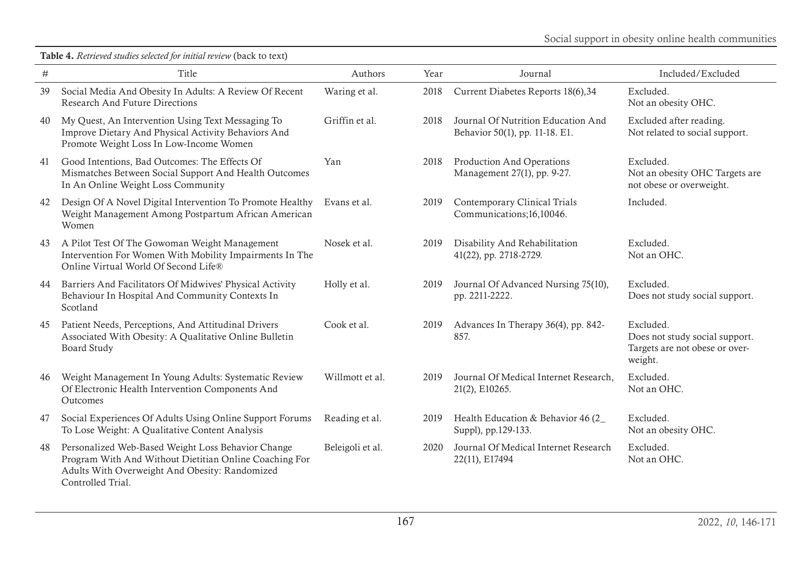| $\#$ | Title                                                                                                                                                                               | Authors          | Year | Journal                                                              | Included/Excluded                                                                        |
|------|-------------------------------------------------------------------------------------------------------------------------------------------------------------------------------------|------------------|------|----------------------------------------------------------------------|------------------------------------------------------------------------------------------|
| 39   | Social Media And Obesity In Adults: A Review Of Recent<br><b>Research And Future Directions</b>                                                                                     | Waring et al.    | 2018 | Current Diabetes Reports 18(6),34                                    | Excluded.<br>Not an obesity OHC.                                                         |
| 40   | My Quest, An Intervention Using Text Messaging To<br>Improve Dietary And Physical Activity Behaviors And<br>Promote Weight Loss In Low-Income Women                                 | Griffin et al.   | 2018 | Journal Of Nutrition Education And<br>Behavior 50(1), pp. 11-18. E1. | Excluded after reading.<br>Not related to social support.                                |
| 41   | Good Intentions, Bad Outcomes: The Effects Of<br>Mismatches Between Social Support And Health Outcomes<br>In An Online Weight Loss Community                                        | Yan              | 2018 | <b>Production And Operations</b><br>Management 27(1), pp. 9-27.      | Excluded.<br>Not an obesity OHC Targets are<br>not obese or overweight.                  |
| 42   | Design Of A Novel Digital Intervention To Promote Healthy<br>Weight Management Among Postpartum African American<br>Women                                                           | Evans et al.     | 2019 | <b>Contemporary Clinical Trials</b><br>Communications;16,10046.      | Included.                                                                                |
| 43   | A Pilot Test Of The Gowoman Weight Management<br>Intervention For Women With Mobility Impairments In The<br>Online Virtual World Of Second Life®                                    | Nosek et al.     | 2019 | Disability And Rehabilitation<br>41(22), pp. 2718-2729.              | Excluded.<br>Not an OHC.                                                                 |
| 44   | Barriers And Facilitators Of Midwives' Physical Activity<br>Behaviour In Hospital And Community Contexts In<br>Scotland                                                             | Holly et al.     | 2019 | Journal Of Advanced Nursing 75(10),<br>pp. 2211-2222.                | Excluded.<br>Does not study social support.                                              |
| 45   | Patient Needs, Perceptions, And Attitudinal Drivers<br>Associated With Obesity: A Qualitative Online Bulletin<br><b>Board Study</b>                                                 | Cook et al.      | 2019 | Advances In Therapy 36(4), pp. 842-<br>857.                          | Excluded.<br>Does not study social support.<br>Targets are not obese or over-<br>weight. |
| 46   | Weight Management In Young Adults: Systematic Review<br>Of Electronic Health Intervention Components And<br>Outcomes                                                                | Willmott et al.  | 2019 | Journal Of Medical Internet Research,<br>21(2), E10265.              | Excluded.<br>Not an OHC.                                                                 |
| 47   | Social Experiences Of Adults Using Online Support Forums<br>To Lose Weight: A Qualitative Content Analysis                                                                          | Reading et al.   | 2019 | Health Education & Behavior 46 (2<br>Suppl), pp.129-133.             | Excluded.<br>Not an obesity OHC.                                                         |
| 48   | Personalized Web-Based Weight Loss Behavior Change<br>Program With And Without Dietitian Online Coaching For<br>Adults With Overweight And Obesity: Randomized<br>Controlled Trial. | Beleigoli et al. | 2020 | Journal Of Medical Internet Research<br>22(11), E17494               | Excluded.<br>Not an OHC.                                                                 |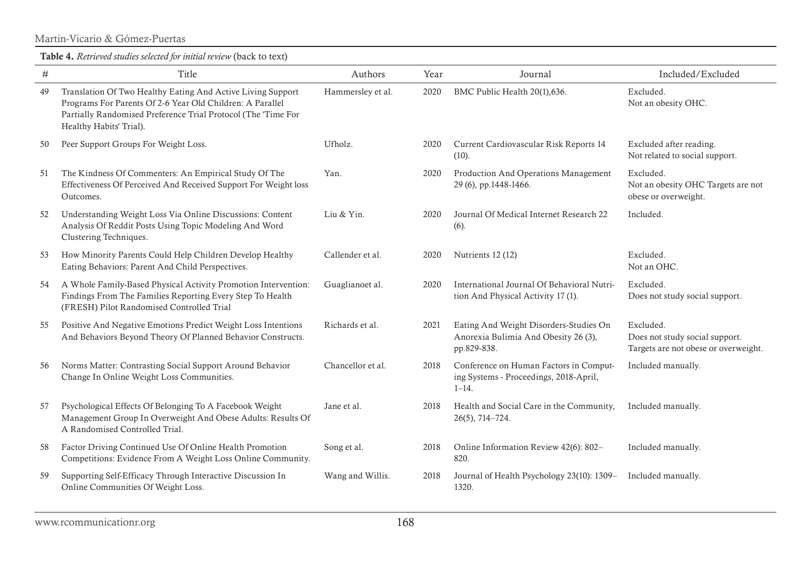Martin-Vicario & Gómez-Puertas

| $\#$ | Title                                                                                                                                                                                                                | Authors           | Year | Journal                                                                                       | Included/Excluded                                                                   |
|------|----------------------------------------------------------------------------------------------------------------------------------------------------------------------------------------------------------------------|-------------------|------|-----------------------------------------------------------------------------------------------|-------------------------------------------------------------------------------------|
| 49   | Translation Of Two Healthy Eating And Active Living Support<br>Programs For Parents Of 2-6 Year Old Children: A Parallel<br>Partially Randomised Preference Trial Protocol (The 'Time For<br>Healthy Habits' Trial). | Hammersley et al. | 2020 | BMC Public Health 20(1),636.                                                                  | Excluded.<br>Not an obesity OHC.                                                    |
| 50   | Peer Support Groups For Weight Loss.                                                                                                                                                                                 | Ufholz.           | 2020 | Current Cardiovascular Risk Reports 14<br>(10).                                               | Excluded after reading.<br>Not related to social support.                           |
| 51   | The Kindness Of Commenters: An Empirical Study Of The<br>Effectiveness Of Perceived And Received Support For Weight loss<br>Outcomes.                                                                                | Yan.              | 2020 | Production And Operations Management<br>29 (6), pp.1448-1466.                                 | Excluded.<br>Not an obesity OHC Targets are not<br>obese or overweight.             |
| 52   | Understanding Weight Loss Via Online Discussions: Content<br>Analysis Of Reddit Posts Using Topic Modeling And Word<br>Clustering Techniques.                                                                        | Liu & Yin.        | 2020 | Journal Of Medical Internet Research 22<br>$(6)$ .                                            | Included.                                                                           |
| 53   | How Minority Parents Could Help Children Develop Healthy<br>Eating Behaviors: Parent And Child Perspectives.                                                                                                         | Callender et al.  | 2020 | Nutrients 12 (12)                                                                             | Excluded.<br>Not an OHC.                                                            |
| 54   | A Whole Family-Based Physical Activity Promotion Intervention:<br>Findings From The Families Reporting Every Step To Health<br>(FRESH) Pilot Randomised Controlled Trial                                             | Guaglianoet al.   | 2020 | International Journal Of Behavioral Nutri-<br>tion And Physical Activity 17 (1).              | Excluded.<br>Does not study social support.                                         |
| 55   | Positive And Negative Emotions Predict Weight Loss Intentions<br>And Behaviors Beyond Theory Of Planned Behavior Constructs.                                                                                         | Richards et al.   | 2021 | Eating And Weight Disorders-Studies On<br>Anorexia Bulimia And Obesity 26 (3),<br>pp.829-838. | Excluded.<br>Does not study social support.<br>Targets are not obese or overweight. |
| 56   | Norms Matter: Contrasting Social Support Around Behavior<br>Change In Online Weight Loss Communities.                                                                                                                | Chancellor et al. | 2018 | Conference on Human Factors in Comput-<br>ing Systems - Proceedings, 2018-April,<br>$1 - 14.$ | Included manually.                                                                  |
| 57   | Psychological Effects Of Belonging To A Facebook Weight<br>Management Group In Overweight And Obese Adults: Results Of<br>A Randomised Controlled Trial.                                                             | Jane et al.       | 2018 | Health and Social Care in the Community,<br>$26(5)$ , 714-724.                                | Included manually.                                                                  |
| 58   | Factor Driving Continued Use Of Online Health Promotion<br>Competitions: Evidence From A Weight Loss Online Community.                                                                                               | Song et al.       | 2018 | Online Information Review 42(6): 802-<br>820.                                                 | Included manually.                                                                  |
| 59   | Supporting Self-Efficacy Through Interactive Discussion In<br>Online Communities Of Weight Loss.                                                                                                                     | Wang and Willis.  | 2018 | Journal of Health Psychology 23(10): 1309-<br>1320.                                           | Included manually.                                                                  |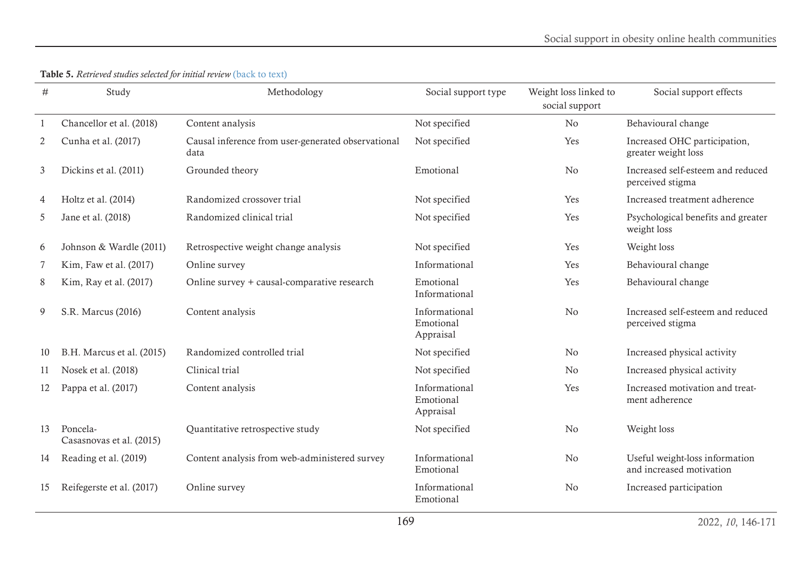<span id="page-23-0"></span>

| #  | Study                                | Methodology                                                | Social support type                     | Weight loss linked to<br>social support | Social support effects                                     |
|----|--------------------------------------|------------------------------------------------------------|-----------------------------------------|-----------------------------------------|------------------------------------------------------------|
|    | Chancellor et al. (2018)             | Content analysis                                           | Not specified                           | No                                      | Behavioural change                                         |
| 2  | Cunha et al. (2017)                  | Causal inference from user-generated observational<br>data | Not specified                           | Yes                                     | Increased OHC participation,<br>greater weight loss        |
| 3  | Dickins et al. (2011)                | Grounded theory                                            | Emotional                               | No                                      | Increased self-esteem and reduced<br>perceived stigma      |
| 4  | Holtz et al. (2014)                  | Randomized crossover trial                                 | Not specified                           | Yes                                     | Increased treatment adherence                              |
| 5  | Jane et al. (2018)                   | Randomized clinical trial                                  | Not specified                           | Yes                                     | Psychological benefits and greater<br>weight loss          |
| 6  | Johnson & Wardle (2011)              | Retrospective weight change analysis                       | Not specified                           | Yes                                     | Weight loss                                                |
| 7  | Kim, Faw et al. (2017)               | Online survey                                              | Informational                           | Yes                                     | Behavioural change                                         |
| 8  | Kim, Ray et al. (2017)               | Online survey + causal-comparative research                | Emotional<br>Informational              | Yes                                     | Behavioural change                                         |
| 9  | S.R. Marcus (2016)                   | Content analysis                                           | Informational<br>Emotional<br>Appraisal | No                                      | Increased self-esteem and reduced<br>perceived stigma      |
| 10 | B.H. Marcus et al. (2015)            | Randomized controlled trial                                | Not specified                           | No                                      | Increased physical activity                                |
| 11 | Nosek et al. (2018)                  | Clinical trial                                             | Not specified                           | No                                      | Increased physical activity                                |
| 12 | Pappa et al. (2017)                  | Content analysis                                           | Informational<br>Emotional<br>Appraisal | Yes                                     | Increased motivation and treat-<br>ment adherence          |
| 13 | Poncela-<br>Casasnovas et al. (2015) | Quantitative retrospective study                           | Not specified                           | No                                      | Weight loss                                                |
| 14 | Reading et al. (2019)                | Content analysis from web-administered survey              | Informational<br>Emotional              | No                                      | Useful weight-loss information<br>and increased motivation |
| 15 | Reifegerste et al. (2017)            | Online survey                                              | Informational<br>Emotional              | No                                      | Increased participation                                    |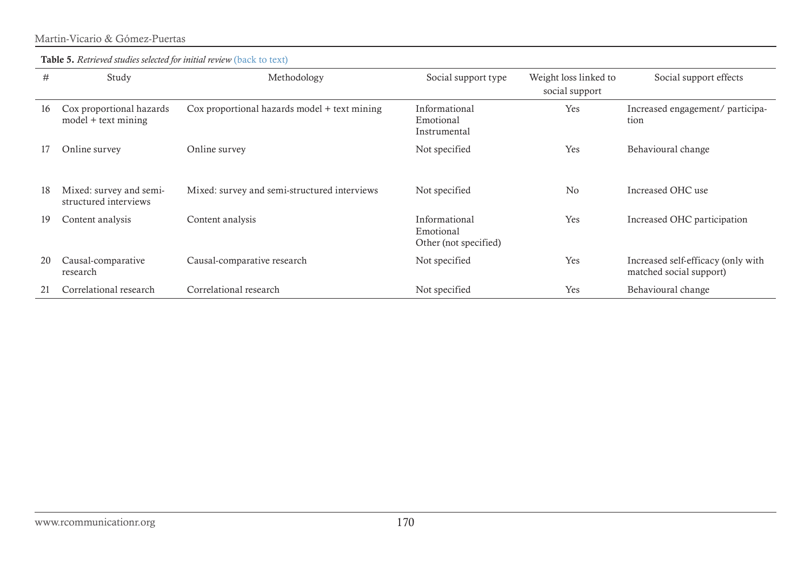| #  | Study                                             | Methodology                                  | Social support type                                 | Weight loss linked to<br>social support | Social support effects                                        |
|----|---------------------------------------------------|----------------------------------------------|-----------------------------------------------------|-----------------------------------------|---------------------------------------------------------------|
| 16 | Cox proportional hazards<br>$model + text mining$ | Cox proportional hazards model + text mining | Informational<br>Emotional<br>Instrumental          | Yes                                     | Increased engagement/ participa-<br>tion                      |
|    | Online survey                                     | Online survey                                | Not specified                                       | Yes                                     | Behavioural change                                            |
| 18 | Mixed: survey and semi-<br>structured interviews  | Mixed: survey and semi-structured interviews | Not specified                                       | N <sub>0</sub>                          | Increased OHC use                                             |
| 19 | Content analysis                                  | Content analysis                             | Informational<br>Emotional<br>Other (not specified) | Yes                                     | Increased OHC participation                                   |
| 20 | Causal-comparative<br>research                    | Causal-comparative research                  | Not specified                                       | Yes                                     | Increased self-efficacy (only with<br>matched social support) |
| 21 | Correlational research                            | Correlational research                       | Not specified                                       | Yes                                     | Behavioural change                                            |

#### Martin-Vicario & Gómez-Puertas